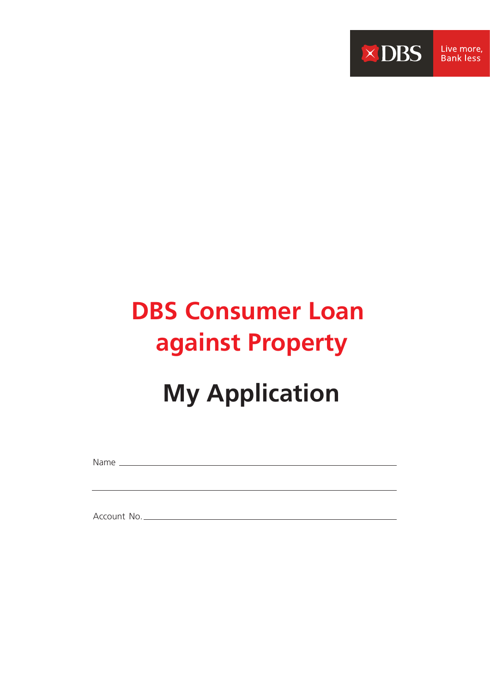

# **DBS Consumer Loan against Property**

# **My Application**

Name

Account No.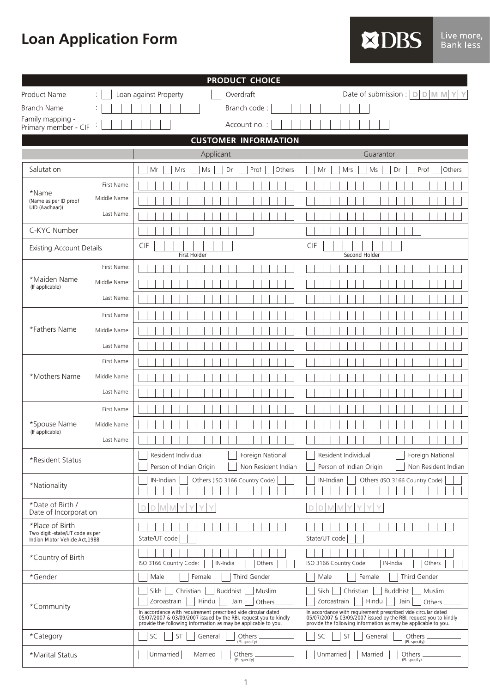**Loan Application Form**

|                        | ч      | n<br>۱I. |
|------------------------|--------|----------|
| <b>Service Service</b> |        |          |
|                        | - 71 - |          |

| <b>PRODUCT CHOICE</b>                                                               |              |                                                                                                                                    |                                                                                                                                    |  |
|-------------------------------------------------------------------------------------|--------------|------------------------------------------------------------------------------------------------------------------------------------|------------------------------------------------------------------------------------------------------------------------------------|--|
| Product Name                                                                        |              | Overdraft<br>Loan against Property                                                                                                 | Date of submission : $\vert D \vert D \vert$ M M                                                                                   |  |
| <b>Branch Name</b>                                                                  |              | Branch code:                                                                                                                       |                                                                                                                                    |  |
| Family mapping -<br>Primary member - CIF                                            |              | Account no.:                                                                                                                       |                                                                                                                                    |  |
|                                                                                     |              | <b>CUSTOMER INFORMATION</b>                                                                                                        |                                                                                                                                    |  |
|                                                                                     |              | Applicant                                                                                                                          | Guarantor                                                                                                                          |  |
| Salutation                                                                          |              | Prof<br>Mr<br>Mrs<br>Ms<br>Dr<br>Others                                                                                            | Prof<br>Mr<br>Ms<br>Dr<br>Others<br>Mrs                                                                                            |  |
|                                                                                     | First Name:  |                                                                                                                                    |                                                                                                                                    |  |
| *Name<br>(Name as per ID proof<br>UID (Aadhaar))                                    | Middle Name: |                                                                                                                                    |                                                                                                                                    |  |
|                                                                                     | Last Name:   |                                                                                                                                    |                                                                                                                                    |  |
| C-KYC Number                                                                        |              |                                                                                                                                    |                                                                                                                                    |  |
| <b>Existing Account Details</b>                                                     |              | CIF<br>First Holder                                                                                                                | CIF<br>Second Holder                                                                                                               |  |
|                                                                                     | First Name:  |                                                                                                                                    |                                                                                                                                    |  |
| *Maiden Name<br>(If applicable)                                                     | Middle Name: |                                                                                                                                    |                                                                                                                                    |  |
|                                                                                     | Last Name:   |                                                                                                                                    |                                                                                                                                    |  |
|                                                                                     | First Name:  |                                                                                                                                    |                                                                                                                                    |  |
| *Fathers Name                                                                       | Middle Name: |                                                                                                                                    |                                                                                                                                    |  |
|                                                                                     | Last Name:   |                                                                                                                                    |                                                                                                                                    |  |
|                                                                                     | First Name:  |                                                                                                                                    |                                                                                                                                    |  |
| *Mothers Name                                                                       | Middle Name: |                                                                                                                                    |                                                                                                                                    |  |
|                                                                                     | Last Name:   |                                                                                                                                    |                                                                                                                                    |  |
|                                                                                     | First Name:  |                                                                                                                                    |                                                                                                                                    |  |
| *Spouse Name                                                                        | Middle Name: |                                                                                                                                    |                                                                                                                                    |  |
| (If applicable)                                                                     | Last Name:   |                                                                                                                                    |                                                                                                                                    |  |
| *Resident Status                                                                    |              | Resident Individual<br>Foreign National                                                                                            | Resident Individual<br>Foreign National                                                                                            |  |
|                                                                                     |              | Person of Indian Origin<br>Non Resident Indian                                                                                     | Person of Indian Origin<br>Non Resident Indian                                                                                     |  |
| *Nationality                                                                        |              | IN-Indian<br>Others (ISO 3166 Country Code)                                                                                        | Others (ISO 3166 Country Code)<br>IN-Indian                                                                                        |  |
| *Date of Birth /<br>Date of Incorporation                                           |              | D<br>D.                                                                                                                            | D M M<br>$\Box$                                                                                                                    |  |
| *Place of Birth<br>Two digit -state/UT code as per<br>Indian Motor Vehicle Act.1988 |              | State/UT code                                                                                                                      | State/UT code                                                                                                                      |  |
| *Country of Birth                                                                   |              | ISO 3166 Country Code:<br>IN-India<br>Others                                                                                       | ISO 3166 Country Code:<br>IN-India<br>Others                                                                                       |  |
| *Gender                                                                             |              | Third Gender<br>Male<br>Female                                                                                                     | Third Gender<br>Male<br>Female                                                                                                     |  |
|                                                                                     |              | Sikh<br>Christian<br><b>Buddhist</b><br>Muslim                                                                                     | Sikh<br>Christian<br>Buddhist<br>Muslim                                                                                            |  |
| *Community                                                                          |              | Hindu<br>Zoroastrain<br>Jain<br>Others<br>In accordance with requirement prescribed vide circular dated                            | Zoroastrain<br>Hindu<br>Jain<br>Others<br>In accordance with requirement prescribed vide circular dated                            |  |
|                                                                                     |              | 05/07/2007 & 03/09/2007 issued by the RBI, request you to kindly<br>provide the following information as may be applicable to you. | 05/07/2007 & 03/09/2007 issued by the RBI, request you to kindly<br>provide the following information as may be applicable to you. |  |
| *Category                                                                           |              | SC<br>ST<br>General<br>Others<br>(Pl. specify)                                                                                     | SC<br>ST<br>General<br>Others<br>(Pl. specify)                                                                                     |  |
| *Marital Status                                                                     |              | Unmarried<br>Married<br>Others<br>(Pl. specify)                                                                                    | Unmarried  <br>Married<br>Others<br>(Pl. specify)                                                                                  |  |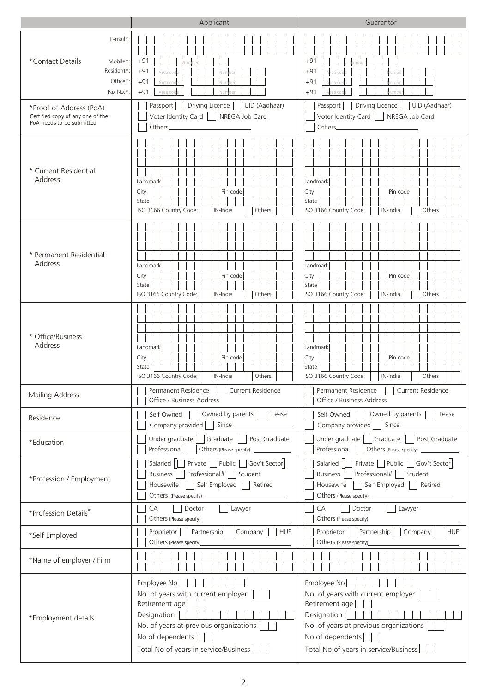|                                                                                                                                                                            | Applicant                                                                                                                                                                                                 | Guarantor                                                                                                                                                                                       |  |
|----------------------------------------------------------------------------------------------------------------------------------------------------------------------------|-----------------------------------------------------------------------------------------------------------------------------------------------------------------------------------------------------------|-------------------------------------------------------------------------------------------------------------------------------------------------------------------------------------------------|--|
| E-mail*:<br>*Contact Details<br>Mobile*<br>Resident*<br>Office*<br>Fax No.*:<br>*Proof of Address (PoA)                                                                    | $+91$<br>$+91$<br>$+91$<br>$+91$<br>Driving Licence<br>UID (Aadhaar)<br>Passport                                                                                                                          | $+91$<br>$+91$<br>$+91$<br>$+91$<br>Driving Licence<br>UID (Aadhaar)<br>Passport                                                                                                                |  |
| Certified copy of any one of the<br>PoA needs to be submitted                                                                                                              | Voter Identity Card<br>NREGA Job Card<br>Others_                                                                                                                                                          | Voter Identity Card<br>NREGA Job Card<br>Others_                                                                                                                                                |  |
| * Current Residential<br>Address                                                                                                                                           | Landmark<br>City<br>Pin code<br>State<br>ISO 3166 Country Code:<br>IN-India<br>Others                                                                                                                     | Landmark<br>City<br>Pin code<br>State<br>ISO 3166 Country Code:<br>Others<br>IN-India                                                                                                           |  |
| * Permanent Residential<br>Address                                                                                                                                         | Landmark<br>City<br>Pin code<br>State<br>ISO 3166 Country Code:<br>IN-India<br>Others                                                                                                                     | Landmark<br>City<br>Pin code<br>State<br>ISO 3166 Country Code:<br>IN-India<br>Others                                                                                                           |  |
| * Office/Business<br>Address                                                                                                                                               | Landmark<br>City<br>Pin code<br>State<br>ISO 3166 Country Code:<br>IN-India<br>Others                                                                                                                     | Landmark<br>Pin code<br>City<br>State<br>ISO 3166 Country Code:<br>Others<br>IN-India                                                                                                           |  |
| Mailing Address                                                                                                                                                            | Permanent Residence   Current Residence<br>Office / Business Address                                                                                                                                      | Permanent Residence    <br>Current Residence<br>Office / Business Address                                                                                                                       |  |
| Residence                                                                                                                                                                  | Self Owned     Owned by parents     Lease<br>Company provided     Since                                                                                                                                   | Owned by parents  <br>Self Owned    <br>Lease<br>Company provided     Since                                                                                                                     |  |
| *Education                                                                                                                                                                 | Under graduate   Graduate  <br>Post Graduate<br>Professional<br>Others (Please specify) ______________                                                                                                    | Under graduate   Graduate   Post Graduate<br>Professional                                                                                                                                       |  |
| Salaried       Private     Public     Gov't Sector<br>Professional#   Student<br><b>Business</b><br>*Profession / Employment<br>    Self Employed     Retired<br>Housewife |                                                                                                                                                                                                           | Salaried   Private   Public   Gov't Sector<br>Business     Professional#     Student<br>Housewife     Self Employed     Retired                                                                 |  |
| *Profession Details#                                                                                                                                                       | CA<br>Doctor<br>Lawyer<br>Others (Please specify)_                                                                                                                                                        | CA<br>Doctor<br>Lawyer<br>Others (Please specify)_                                                                                                                                              |  |
| *Self Employed                                                                                                                                                             | Proprietor     Partnership     Company  <br>HUF<br>Others (Please specify)_                                                                                                                               | Proprietor     Partnership     Company<br><b>HUF</b><br>Others (Please specify)________                                                                                                         |  |
| *Name of employer / Firm                                                                                                                                                   |                                                                                                                                                                                                           |                                                                                                                                                                                                 |  |
| *Employment details                                                                                                                                                        | Employee No <a>[16]</a><br>No. of years with current employer<br>Retirement age<br>Designation<br>No. of years at previous organizations<br>No of dependents    <br>Total No of years in service/Business | Employee No<br>No. of years with current employer<br>Retirement age<br>Designation    <br>No. of years at previous organizations<br>No of dependents  <br>Total No of years in service/Business |  |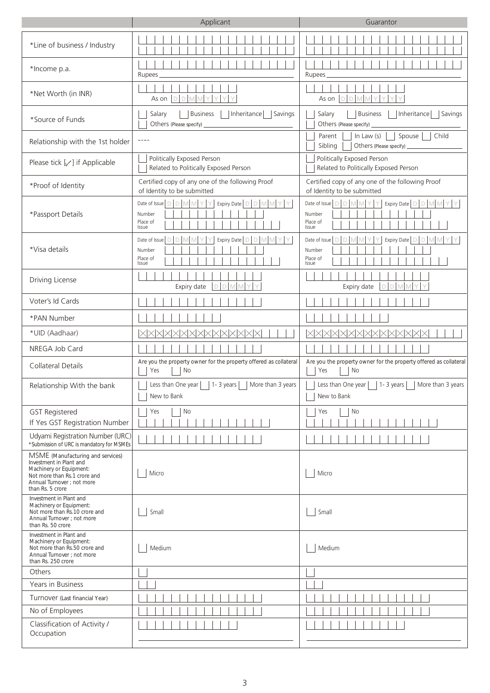|                                                                                                                                                                           | Applicant                                                                                                                                           | Guarantor                                                                                                                                                                                     |  |
|---------------------------------------------------------------------------------------------------------------------------------------------------------------------------|-----------------------------------------------------------------------------------------------------------------------------------------------------|-----------------------------------------------------------------------------------------------------------------------------------------------------------------------------------------------|--|
| *Line of business / Industry                                                                                                                                              |                                                                                                                                                     |                                                                                                                                                                                               |  |
| *Income p.a.                                                                                                                                                              | Rupees                                                                                                                                              | Rupees                                                                                                                                                                                        |  |
| *Net Worth (in INR)                                                                                                                                                       | As on $ D D $<br>$M$ $M$                                                                                                                            | $\mathbb{M}$ $\mathbb{M}$<br>D/D<br>As on                                                                                                                                                     |  |
| *Source of Funds                                                                                                                                                          | <b>Business</b><br>Inheritance<br>Salary<br>Savings<br>Others (Please specify) _                                                                    | <b>Business</b><br>Inheritance<br>Savings<br>Salary<br>Others (Please specify) _                                                                                                              |  |
| Relationship with the 1st holder                                                                                                                                          | $- - - -$                                                                                                                                           | Parent<br>In Law $(s)$<br>Spouse<br>Child<br>Sibling<br>Others (Please specify) ___________                                                                                                   |  |
| Please tick $[\sqrt{ } ]$ if Applicable                                                                                                                                   | Politically Exposed Person<br>Related to Politically Exposed Person                                                                                 | Politically Exposed Person<br>Related to Politically Exposed Person                                                                                                                           |  |
| *Proof of Identity                                                                                                                                                        | Certified copy of any one of the following Proof<br>of Identity to be submitted                                                                     | Certified copy of any one of the following Proof<br>of Identity to be submitted                                                                                                               |  |
| *Passport Details                                                                                                                                                         | Expiry Date $\big \bigcup \big \bigcup \big \big \big \big \big \big \big $<br>Date of Issue $D$ $D$ $M$ $M$ $Y$ $Y$<br>Number<br>Place of<br>Issue | Expiry Date $\big \bigcirc\big \bigcirc\big \big \mathbb{M}\big \big \mathbb{M}\big \big \bigarrow\big \mathbb{M}$<br>Date of Issue $D D M M Y Y$<br>Number<br>Place of<br>Issue              |  |
| *Visa details                                                                                                                                                             | Expiry Date D D M M<br><b>DIMM</b><br>Date of Issue<br>$\Box$<br>Y.<br>Number<br>Place of<br>Issue                                                  | Expiry Date $\boxed{\triangleright}$ $\boxed{\triangleright}$ $\boxed{\triangleright}$ $\boxed{\triangleright}$<br><b>DIMM</b><br>M<br>Date of Issue<br>$\Box$<br>Number<br>Place of<br>Issue |  |
| Driving License                                                                                                                                                           | DDMM<br>Expiry date                                                                                                                                 | D M M<br>D<br>Expiry date                                                                                                                                                                     |  |
| Voter's Id Cards                                                                                                                                                          |                                                                                                                                                     |                                                                                                                                                                                               |  |
| *PAN Number                                                                                                                                                               |                                                                                                                                                     |                                                                                                                                                                                               |  |
| *UID (Aadhaar)                                                                                                                                                            | XXXXXXXXXXXXXXXXX                                                                                                                                   | XXXXXXXXXXXXXXXXX                                                                                                                                                                             |  |
| NREGA Job Card                                                                                                                                                            |                                                                                                                                                     |                                                                                                                                                                                               |  |
| <b>Collateral Details</b>                                                                                                                                                 | Are you the property owner for the property offered as collateral<br>Yes<br>No                                                                      | Are you the property owner for the property offered as collateral<br>Yes<br>No                                                                                                                |  |
| Relationship With the bank                                                                                                                                                | Less than One year     1-3 years     More than 3 years<br>New to Bank                                                                               | Less than One year     1- 3 years     More than 3 years<br>New to Bank                                                                                                                        |  |
| <b>GST Registered</b><br>If Yes GST Registration Number                                                                                                                   | Yes<br>No                                                                                                                                           | No<br>Yes                                                                                                                                                                                     |  |
| Udyami Registration Number (URC)<br>*Submission of URC is mandatory for MSMEs                                                                                             |                                                                                                                                                     |                                                                                                                                                                                               |  |
| MSME (Manufacturing and services)<br>Investment in Plant and<br>Machinery or Equipment:<br>Not more than Rs.1 crore and<br>Annual Turnover ; not more<br>than Rs. 5 crore | Micro                                                                                                                                               | Micro                                                                                                                                                                                         |  |
| Investment in Plant and<br>Machinery or Equipment:<br>Not more than Rs.10 crore and<br>Annual Turnover ; not more<br>than Rs. 50 crore                                    | Small                                                                                                                                               | Small                                                                                                                                                                                         |  |
| Investment in Plant and<br>Machinery or Equipment:<br>Not more than Rs.50 crore and<br>Annual Turnover ; not more<br>than Rs. 250 crore                                   | Medium                                                                                                                                              | Medium                                                                                                                                                                                        |  |
| Others                                                                                                                                                                    |                                                                                                                                                     |                                                                                                                                                                                               |  |
| Years in Business                                                                                                                                                         |                                                                                                                                                     |                                                                                                                                                                                               |  |
| Turnover (Last financial Year)                                                                                                                                            |                                                                                                                                                     |                                                                                                                                                                                               |  |
| No of Employees                                                                                                                                                           |                                                                                                                                                     |                                                                                                                                                                                               |  |
| Classification of Activity /<br>Occupation                                                                                                                                |                                                                                                                                                     |                                                                                                                                                                                               |  |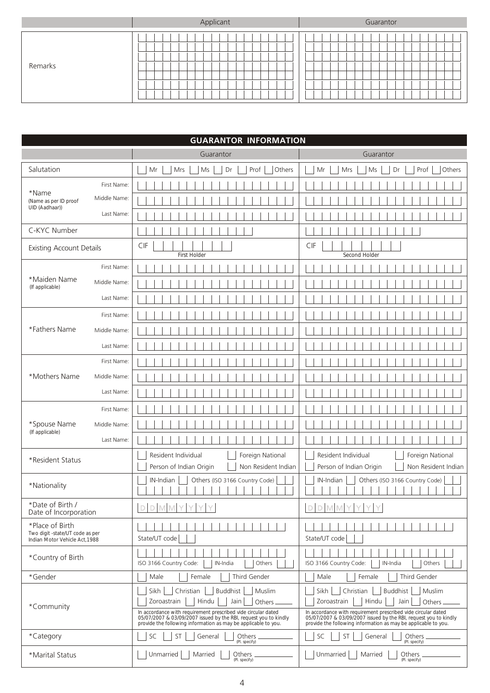|         | Applicant | Guarantor |
|---------|-----------|-----------|
| Remarks |           |           |

|                                                    |              | <b>GUARANTOR INFORMATION</b>                                                                                                                                                                     |                                                                                                                                                                                                  |  |  |
|----------------------------------------------------|--------------|--------------------------------------------------------------------------------------------------------------------------------------------------------------------------------------------------|--------------------------------------------------------------------------------------------------------------------------------------------------------------------------------------------------|--|--|
|                                                    |              | Guarantor                                                                                                                                                                                        | Guarantor                                                                                                                                                                                        |  |  |
| Salutation                                         |              | Prof<br>$\mathsf{Ms}$<br>Dr<br>Mr<br>Mrs<br>Others                                                                                                                                               | Prof<br>Others<br>Mr<br>Mrs<br>Ms<br>Dr                                                                                                                                                          |  |  |
| *Name                                              | First Name:  |                                                                                                                                                                                                  |                                                                                                                                                                                                  |  |  |
| (Name as per ID proof<br>UID (Aadhaar))            | Middle Name: |                                                                                                                                                                                                  |                                                                                                                                                                                                  |  |  |
|                                                    | Last Name:   |                                                                                                                                                                                                  |                                                                                                                                                                                                  |  |  |
| C-KYC Number                                       |              |                                                                                                                                                                                                  |                                                                                                                                                                                                  |  |  |
| <b>Existing Account Details</b>                    |              | CIF<br>First Holder                                                                                                                                                                              | CIF<br>Second Holder                                                                                                                                                                             |  |  |
|                                                    | First Name:  |                                                                                                                                                                                                  |                                                                                                                                                                                                  |  |  |
| *Maiden Name<br>(If applicable)                    | Middle Name: |                                                                                                                                                                                                  |                                                                                                                                                                                                  |  |  |
|                                                    | Last Name:   |                                                                                                                                                                                                  |                                                                                                                                                                                                  |  |  |
|                                                    | First Name:  |                                                                                                                                                                                                  |                                                                                                                                                                                                  |  |  |
| *Fathers Name                                      | Middle Name: |                                                                                                                                                                                                  |                                                                                                                                                                                                  |  |  |
|                                                    | Last Name:   |                                                                                                                                                                                                  |                                                                                                                                                                                                  |  |  |
|                                                    | First Name:  |                                                                                                                                                                                                  |                                                                                                                                                                                                  |  |  |
| *Mothers Name                                      | Middle Name: |                                                                                                                                                                                                  |                                                                                                                                                                                                  |  |  |
|                                                    | Last Name:   |                                                                                                                                                                                                  |                                                                                                                                                                                                  |  |  |
|                                                    | First Name:  |                                                                                                                                                                                                  |                                                                                                                                                                                                  |  |  |
| *Spouse Name<br>(If applicable)                    | Middle Name: |                                                                                                                                                                                                  |                                                                                                                                                                                                  |  |  |
|                                                    | Last Name:   |                                                                                                                                                                                                  |                                                                                                                                                                                                  |  |  |
| *Resident Status                                   |              | Resident Individual<br>Foreign National                                                                                                                                                          | Resident Individual<br>Foreign National                                                                                                                                                          |  |  |
|                                                    |              | Person of Indian Origin<br>Non Resident Indian                                                                                                                                                   | Person of Indian Origin<br>Non Resident Indian                                                                                                                                                   |  |  |
| *Nationality                                       |              | IN-Indian<br>Others (ISO 3166 Country Code)                                                                                                                                                      | IN-Indian<br>Others (ISO 3166 Country Code)                                                                                                                                                      |  |  |
| *Date of Birth /<br>Date of Incorporation          |              | $D D M M Y Y Y$                                                                                                                                                                                  | $D D M M Y Y Y$                                                                                                                                                                                  |  |  |
| *Place of Birth<br>Two digit -state/UT code as per |              |                                                                                                                                                                                                  |                                                                                                                                                                                                  |  |  |
| Indian Motor Vehicle Act, 1988                     |              | State/UT code                                                                                                                                                                                    | State/UT code                                                                                                                                                                                    |  |  |
| *Country of Birth                                  |              | IN-India<br>Others<br>ISO 3166 Country Code:                                                                                                                                                     | ISO 3166 Country Code:<br>IN-India<br>Others                                                                                                                                                     |  |  |
| *Gender                                            |              | Third Gender<br>Male<br>Female                                                                                                                                                                   | Third Gender<br>Male<br>Female                                                                                                                                                                   |  |  |
|                                                    |              | Buddhist<br>Sikh<br>Christian<br>Muslim<br>Zoroastrain<br>Hindu<br>Jain<br>Others.                                                                                                               | Sikh<br>Christian<br>Buddhist<br>Muslim<br>Zoroastrain<br>Hindu<br>Jain<br>Others.                                                                                                               |  |  |
| *Community                                         |              | In accordance with requirement prescribed vide circular dated<br>05/07/2007 & 03/09/2007 issued by the RBI, request you to kindly provide the following information as may be applicable to you. | In accordance with requirement prescribed vide circular dated<br>05/07/2007 & 03/09/2007 issued by the RBI, request you to kindly provide the following information as may be applicable to you. |  |  |
| *Category                                          |              | ST<br>SC<br>General<br>Others<br>(Pl. specify)                                                                                                                                                   | ST<br>SC<br>General<br>Others<br>(Pl. specify)                                                                                                                                                   |  |  |
| *Marital Status                                    |              | Unmarried<br>Married<br>Others<br>(Pl. specify)                                                                                                                                                  | Unmarried<br>Married<br>Others<br>(Pl. specify)                                                                                                                                                  |  |  |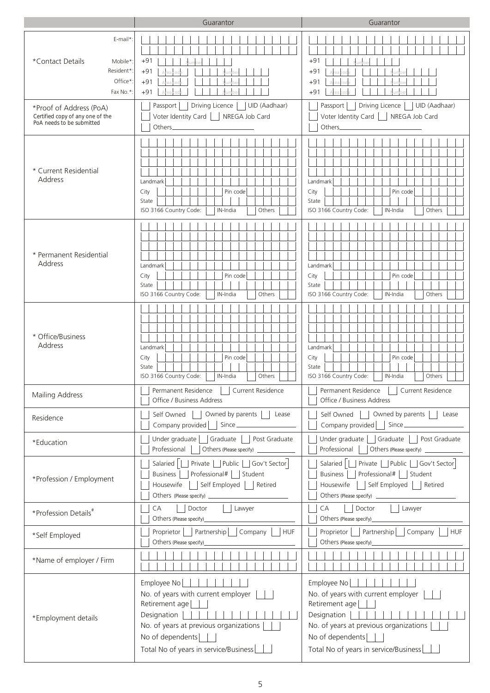|                                                                                                                                            | Guarantor                                                                                                                                                                                         | Guarantor                                                                                                                                                                                                            |  |  |
|--------------------------------------------------------------------------------------------------------------------------------------------|---------------------------------------------------------------------------------------------------------------------------------------------------------------------------------------------------|----------------------------------------------------------------------------------------------------------------------------------------------------------------------------------------------------------------------|--|--|
| E-mail*<br>*Contact Details<br>Mobile*<br>Resident*<br>Office*<br>Fax No.*:<br>*Proof of Address (PoA)<br>Certified copy of any one of the | $+91$<br>$+91$<br>$+91$<br>$+91$<br>Driving Licence<br>UID (Aadhaar)<br>Passport<br>Voter Identity Card<br>NREGA Job Card                                                                         | $+91$<br>$+91$<br>$+91$<br>$+91$<br>Driving Licence<br>UID (Aadhaar)<br>Passport<br>Voter Identity Card<br>NREGA Job Card                                                                                            |  |  |
| PoA needs to be submitted<br>* Current Residential<br>Address                                                                              | Others_<br>Landmark<br>City<br>Pin code<br>State<br>ISO 3166 Country Code:<br>IN-India<br>Others                                                                                                  | Others_<br>Landmark<br>Pin code<br>City<br>State<br>ISO 3166 Country Code:<br>IN-India<br>Others                                                                                                                     |  |  |
| * Permanent Residential<br>Address                                                                                                         | Landmark<br>City<br>Pin code<br>State<br>ISO 3166 Country Code:<br>IN-India<br>Others                                                                                                             | Landmark<br>City<br>Pin code<br>State<br>ISO 3166 Country Code:<br>IN-India<br>Others                                                                                                                                |  |  |
| * Office/Business<br>Address                                                                                                               | Landmark<br>City<br>Pin code<br>State<br>ISO 3166 Country Code:<br>IN-India<br>Others                                                                                                             | Landmark<br>City<br>Pin code<br>State<br>ISO 3166 Country Code:<br>IN-India<br>Others                                                                                                                                |  |  |
| Mailing Address                                                                                                                            | Permanent Residence     Current Residence<br>Permanent Residence    <br>Current Residence<br>Office / Business Address<br>Office / Business Address                                               |                                                                                                                                                                                                                      |  |  |
| Residence                                                                                                                                  | Self Owned     Owned by parents     Lease<br>Company provided     Since                                                                                                                           | Owned by parents    <br>Self Owned<br>Lease<br>Company provided     Since                                                                                                                                            |  |  |
| *Education                                                                                                                                 | Under graduate   Graduate   Post Graduate<br>Professional<br>Others (Please specify) _____________                                                                                                | Under graduate   Graduate   Post Graduate<br>Professional  <br>Others (Please specify) ____________                                                                                                                  |  |  |
| *Profession / Employment                                                                                                                   | Private   Public   Gov't Sector<br>Salaried    <br>Professional#   Student<br><b>Business</b><br>Self Employed   Retired<br>Housewife                                                             | Salaried       Private     Public     Gov't Sector<br>Professional#   Student<br><b>Business</b><br>    Self Employed     Retired<br>Housewife                                                                       |  |  |
| *Profession Details <sup>#</sup>                                                                                                           | CA<br>Doctor<br>Lawyer<br>Others (Please specify)_                                                                                                                                                | CA<br>Doctor<br>Lawyer<br>Others (Please specify)_                                                                                                                                                                   |  |  |
| *Self Employed                                                                                                                             | Proprietor     Partnership     Company     HUF<br>Others (Please specify)_                                                                                                                        | Proprietor     Partnership     Company<br><b>HUF</b><br>Others (Please specify)______                                                                                                                                |  |  |
| *Name of employer / Firm                                                                                                                   |                                                                                                                                                                                                   |                                                                                                                                                                                                                      |  |  |
| *Employment details                                                                                                                        | Employee No    <br>No. of years with current employer<br>Retirement age<br>Designation<br>No. of years at previous organizations<br>No of dependents    <br>Total No of years in service/Business | Employee No<br>No. of years with current employer<br>Retirement age<br>Designation $   \cdot    \cdot   $<br>No. of years at previous organizations<br>No of dependents    <br>Total No of years in service/Business |  |  |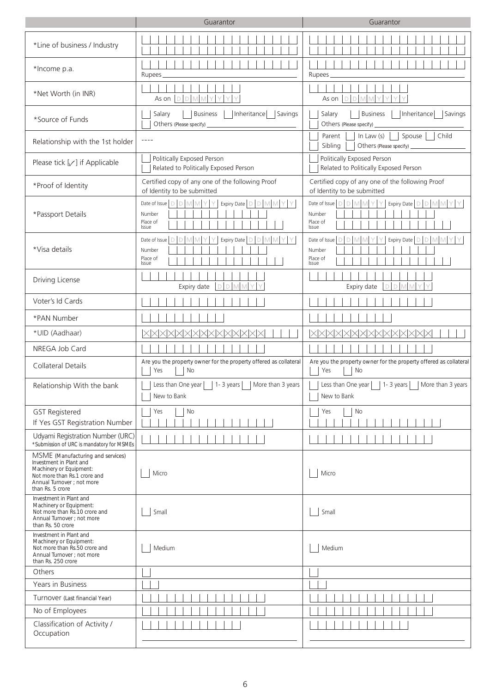|                                                                                                                                                                           | Guarantor                                                                                                                                                                                                                                                                                                                                                                                    | Guarantor                                                                                                      |  |
|---------------------------------------------------------------------------------------------------------------------------------------------------------------------------|----------------------------------------------------------------------------------------------------------------------------------------------------------------------------------------------------------------------------------------------------------------------------------------------------------------------------------------------------------------------------------------------|----------------------------------------------------------------------------------------------------------------|--|
| *Line of business / Industry                                                                                                                                              |                                                                                                                                                                                                                                                                                                                                                                                              |                                                                                                                |  |
| *Income p.a.                                                                                                                                                              | Rupees                                                                                                                                                                                                                                                                                                                                                                                       | Rupees                                                                                                         |  |
| *Net Worth (in INR)                                                                                                                                                       | $D$ $D$ $M$<br>As on                                                                                                                                                                                                                                                                                                                                                                         | As on $ D D M$<br>M                                                                                            |  |
| *Source of Funds                                                                                                                                                          | <b>Business</b><br>  Inheritance   Savings<br>Salary<br>Others (Please specify) _                                                                                                                                                                                                                                                                                                            | <b>Business</b><br>Inheritance<br>Savings<br>Salary<br>Others (Please specify)                                 |  |
| Relationship with the 1st holder                                                                                                                                          | $\frac{1}{2} \frac{1}{2} \frac{1}{2} \frac{1}{2} \frac{1}{2} \frac{1}{2} \frac{1}{2} \frac{1}{2} \frac{1}{2} \frac{1}{2} \frac{1}{2} \frac{1}{2} \frac{1}{2} \frac{1}{2} \frac{1}{2} \frac{1}{2} \frac{1}{2} \frac{1}{2} \frac{1}{2} \frac{1}{2} \frac{1}{2} \frac{1}{2} \frac{1}{2} \frac{1}{2} \frac{1}{2} \frac{1}{2} \frac{1}{2} \frac{1}{2} \frac{1}{2} \frac{1}{2} \frac{1}{2} \frac{$ | Parent<br>In Law $(s)$<br>Spouse<br>Child<br>Sibling                                                           |  |
| Please tick $[\sqrt{ } ]$ if Applicable                                                                                                                                   | Politically Exposed Person<br>Related to Politically Exposed Person                                                                                                                                                                                                                                                                                                                          | Politically Exposed Person<br>Related to Politically Exposed Person                                            |  |
| *Proof of Identity                                                                                                                                                        | Certified copy of any one of the following Proof<br>of Identity to be submitted                                                                                                                                                                                                                                                                                                              | Certified copy of any one of the following Proof<br>of Identity to be submitted                                |  |
| *Passport Details                                                                                                                                                         | Date of Issue   D   D   M   M   Y   Y<br>Expiry Date $\boxed{\triangleright}$ $\boxed{\triangleright}$ $\boxed{\triangleright}$ $\boxed{\triangleright}$ $\boxed{\triangleright}$<br>Y.<br>Y.<br>Number<br>Place of<br>Issue                                                                                                                                                                 | Expiry Date   D   D   M   M   Y  <br>Date of Issue $D$ $D$ $M$ $M$ $Y$ $Y$<br>Y<br>Number<br>Place of<br>Issue |  |
| *Visa details                                                                                                                                                             | Date of Issue<br>Expiry Date $\boxed{\bigcirc}$ $\boxed{\bigcirc}$ $\boxed{\bigcirc}$ $\boxed{\bigcirc}$<br>D.<br>Number<br>Place of<br>Issue                                                                                                                                                                                                                                                | Expiry Date   D   D   M   M<br>Date of Issue<br>D.<br>Number<br>Place of<br>Issue                              |  |
| Driving License                                                                                                                                                           | $D$ $D$<br>M<br>Expiry date                                                                                                                                                                                                                                                                                                                                                                  | $D$ $D$<br>Expiry date                                                                                         |  |
| Voter's Id Cards                                                                                                                                                          |                                                                                                                                                                                                                                                                                                                                                                                              |                                                                                                                |  |
| *PAN Number                                                                                                                                                               |                                                                                                                                                                                                                                                                                                                                                                                              |                                                                                                                |  |
| *UID (Aadhaar)                                                                                                                                                            | XXXXXXXXXXXXXXXXX                                                                                                                                                                                                                                                                                                                                                                            | XXXXXXXXXXXXXXXXX                                                                                              |  |
| NREGA Job Card                                                                                                                                                            |                                                                                                                                                                                                                                                                                                                                                                                              |                                                                                                                |  |
| <b>Collateral Details</b>                                                                                                                                                 | Are you the property owner for the property offered as collateral<br>Yes<br>No                                                                                                                                                                                                                                                                                                               | Are you the property owner for the property offered as collateral<br>Yes<br>No                                 |  |
| Relationship With the bank                                                                                                                                                | Less than One year     1- 3 years     More than 3 years<br>New to Bank                                                                                                                                                                                                                                                                                                                       | Less than One year     1- 3 years     More than 3 years<br>New to Bank                                         |  |
| <b>GST Registered</b><br>If Yes GST Registration Number                                                                                                                   | Yes<br>No                                                                                                                                                                                                                                                                                                                                                                                    | No<br>Yes                                                                                                      |  |
| Udyami Registration Number (URC)<br>*Submission of URC is mandatory for MSMEs                                                                                             |                                                                                                                                                                                                                                                                                                                                                                                              |                                                                                                                |  |
| MSME (Manufacturing and services)<br>Investment in Plant and<br>Machinery or Equipment:<br>Not more than Rs.1 crore and<br>Annual Turnover ; not more<br>than Rs. 5 crore | Micro                                                                                                                                                                                                                                                                                                                                                                                        | Micro                                                                                                          |  |
| Investment in Plant and<br>Machinery or Equipment:<br>Not more than Rs.10 crore and<br>Annual Turnover ; not more<br>than Rs. 50 crore                                    | Small                                                                                                                                                                                                                                                                                                                                                                                        | Small                                                                                                          |  |
| Investment in Plant and<br>Machinery or Equipment:<br>Not more than Rs.50 crore and<br>Annual Turnover ; not more<br>than Rs. 250 crore                                   | Medium                                                                                                                                                                                                                                                                                                                                                                                       | Medium                                                                                                         |  |
| Others                                                                                                                                                                    |                                                                                                                                                                                                                                                                                                                                                                                              |                                                                                                                |  |
| Years in Business                                                                                                                                                         |                                                                                                                                                                                                                                                                                                                                                                                              |                                                                                                                |  |
| Turnover (Last financial Year)                                                                                                                                            |                                                                                                                                                                                                                                                                                                                                                                                              |                                                                                                                |  |
| No of Employees<br>Classification of Activity /<br>Occupation                                                                                                             |                                                                                                                                                                                                                                                                                                                                                                                              |                                                                                                                |  |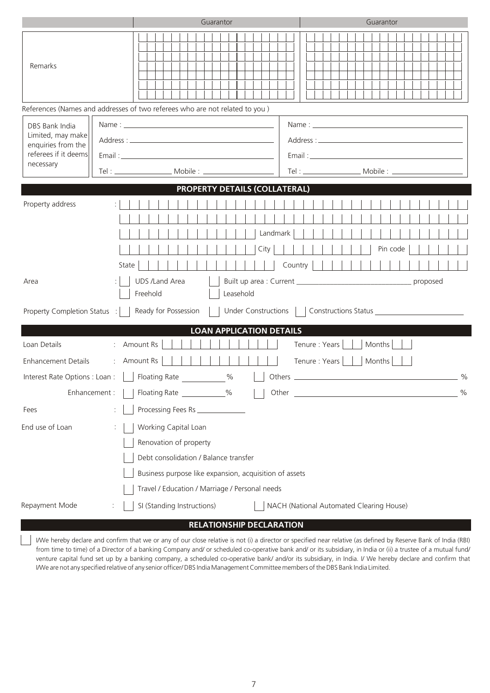|                                                                                        | Guarantor                                                                                                                                                                                           | Guarantor                                                                                                                                                                                                                      |
|----------------------------------------------------------------------------------------|-----------------------------------------------------------------------------------------------------------------------------------------------------------------------------------------------------|--------------------------------------------------------------------------------------------------------------------------------------------------------------------------------------------------------------------------------|
| Remarks                                                                                |                                                                                                                                                                                                     |                                                                                                                                                                                                                                |
|                                                                                        | References (Names and addresses of two referees who are not related to you )                                                                                                                        |                                                                                                                                                                                                                                |
| DBS Bank India<br>Limited, may make<br>enquiries from the<br>referees if it deems      |                                                                                                                                                                                                     | Email: Email: Email: Email: Email: Email: Email: Email: Email: Email: Email: Email: Email: Email: Email: Email: Email: Email: Email: Email: Email: Email: Email: Email: Email: Email: Email: Email: Email: Email: Email: Email |
| necessary                                                                              |                                                                                                                                                                                                     |                                                                                                                                                                                                                                |
|                                                                                        | <b>PROPERTY DETAILS (COLLATERAL)</b>                                                                                                                                                                |                                                                                                                                                                                                                                |
| Property address                                                                       | Landmark<br>City<br>State                                                                                                                                                                           | Pin code<br>Country                                                                                                                                                                                                            |
| Area<br>Property Completion Status :                                                   | <b>UDS /Land Area</b><br>Freehold<br>Leasehold<br>Ready for Possession<br><b>Under Constructions</b>                                                                                                |                                                                                                                                                                                                                                |
|                                                                                        | <b>LOAN APPLICATION DETAILS</b>                                                                                                                                                                     |                                                                                                                                                                                                                                |
| Loan Details<br>Enhancement Details<br>Interest Rate Options : Loan :<br>Enhancement : | Amount Rs<br>: Amount Rs<br>Floating Rate<br>$\%$<br>Floating Rate ___________%                                                                                                                     | Tenure : Years<br>Months<br>Tenure: Years<br>Months<br>$\frac{0}{0}$<br><u> 1989 - Johann Stein, mars an t-Amerikaansk kommunister (</u><br>$\%$<br>Other                                                                      |
| Fees                                                                                   | Processing Fees Rs _______________                                                                                                                                                                  |                                                                                                                                                                                                                                |
| End use of Loan                                                                        | Working Capital Loan<br>Renovation of property<br>Debt consolidation / Balance transfer<br>Business purpose like expansion, acquisition of assets<br>Travel / Education / Marriage / Personal needs |                                                                                                                                                                                                                                |
| Repayment Mode                                                                         | SI (Standing Instructions)                                                                                                                                                                          | NACH (National Automated Clearing House)                                                                                                                                                                                       |

# **RELATIONSHIP DECLARATION**

 $\vert \ \ \vert$ I/We hereby declare and confirm that we or any of our close relative is not (i) a director or specified near relative (as defined by Reserve Bank of India (RBI) from time to time) of a Director of a banking Company and/ or scheduled co-operative bank and/ or its subsidiary, in India or (ii) a trustee of a mutual fund/ venture capital fund set up by a banking company, a scheduled co-operative bank/ and/or its subsidiary, in India. I/ We hereby declare and confirm that I/We are not any specified relative of any senior officer/ DBS India Management Committee members of the DBS Bank India Limited.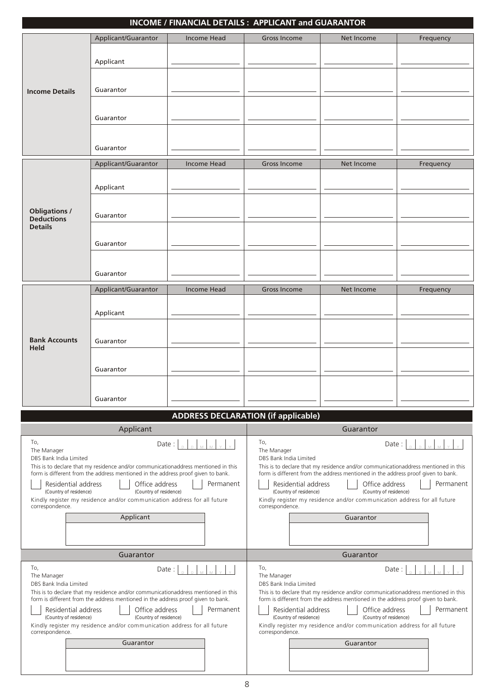|                                                                                                                                                                                                                                                                                                                                                                                                                                                                                                                                                                                                                                                                                                                                                                                                                                                                                                   |                                                                                                                                                                                                                                                                                                                      | <b>INCOME / FINANCIAL DETAILS: APPLICANT and GUARANTOR</b> |                                                                                                                                                                                                                                                                                                                                                                                                                                                       |            |           |  |
|---------------------------------------------------------------------------------------------------------------------------------------------------------------------------------------------------------------------------------------------------------------------------------------------------------------------------------------------------------------------------------------------------------------------------------------------------------------------------------------------------------------------------------------------------------------------------------------------------------------------------------------------------------------------------------------------------------------------------------------------------------------------------------------------------------------------------------------------------------------------------------------------------|----------------------------------------------------------------------------------------------------------------------------------------------------------------------------------------------------------------------------------------------------------------------------------------------------------------------|------------------------------------------------------------|-------------------------------------------------------------------------------------------------------------------------------------------------------------------------------------------------------------------------------------------------------------------------------------------------------------------------------------------------------------------------------------------------------------------------------------------------------|------------|-----------|--|
|                                                                                                                                                                                                                                                                                                                                                                                                                                                                                                                                                                                                                                                                                                                                                                                                                                                                                                   | Applicant/Guarantor                                                                                                                                                                                                                                                                                                  | <b>Income Head</b>                                         | <b>Gross Income</b>                                                                                                                                                                                                                                                                                                                                                                                                                                   | Net Income | Frequency |  |
|                                                                                                                                                                                                                                                                                                                                                                                                                                                                                                                                                                                                                                                                                                                                                                                                                                                                                                   | Applicant                                                                                                                                                                                                                                                                                                            |                                                            |                                                                                                                                                                                                                                                                                                                                                                                                                                                       |            |           |  |
| <b>Income Details</b>                                                                                                                                                                                                                                                                                                                                                                                                                                                                                                                                                                                                                                                                                                                                                                                                                                                                             | Guarantor                                                                                                                                                                                                                                                                                                            |                                                            |                                                                                                                                                                                                                                                                                                                                                                                                                                                       |            |           |  |
|                                                                                                                                                                                                                                                                                                                                                                                                                                                                                                                                                                                                                                                                                                                                                                                                                                                                                                   | Guarantor                                                                                                                                                                                                                                                                                                            |                                                            |                                                                                                                                                                                                                                                                                                                                                                                                                                                       |            |           |  |
|                                                                                                                                                                                                                                                                                                                                                                                                                                                                                                                                                                                                                                                                                                                                                                                                                                                                                                   | Guarantor                                                                                                                                                                                                                                                                                                            |                                                            |                                                                                                                                                                                                                                                                                                                                                                                                                                                       |            |           |  |
|                                                                                                                                                                                                                                                                                                                                                                                                                                                                                                                                                                                                                                                                                                                                                                                                                                                                                                   | Applicant/Guarantor                                                                                                                                                                                                                                                                                                  | <b>Income Head</b>                                         | <b>Gross Income</b>                                                                                                                                                                                                                                                                                                                                                                                                                                   | Net Income | Frequency |  |
|                                                                                                                                                                                                                                                                                                                                                                                                                                                                                                                                                                                                                                                                                                                                                                                                                                                                                                   | Applicant                                                                                                                                                                                                                                                                                                            |                                                            |                                                                                                                                                                                                                                                                                                                                                                                                                                                       |            |           |  |
| <b>Obligations /</b><br><b>Deductions</b><br><b>Details</b>                                                                                                                                                                                                                                                                                                                                                                                                                                                                                                                                                                                                                                                                                                                                                                                                                                       | Guarantor                                                                                                                                                                                                                                                                                                            |                                                            |                                                                                                                                                                                                                                                                                                                                                                                                                                                       |            |           |  |
|                                                                                                                                                                                                                                                                                                                                                                                                                                                                                                                                                                                                                                                                                                                                                                                                                                                                                                   | Guarantor                                                                                                                                                                                                                                                                                                            |                                                            |                                                                                                                                                                                                                                                                                                                                                                                                                                                       |            |           |  |
|                                                                                                                                                                                                                                                                                                                                                                                                                                                                                                                                                                                                                                                                                                                                                                                                                                                                                                   | Guarantor                                                                                                                                                                                                                                                                                                            |                                                            |                                                                                                                                                                                                                                                                                                                                                                                                                                                       |            |           |  |
|                                                                                                                                                                                                                                                                                                                                                                                                                                                                                                                                                                                                                                                                                                                                                                                                                                                                                                   | Applicant/Guarantor                                                                                                                                                                                                                                                                                                  | <b>Income Head</b>                                         | <b>Gross Income</b>                                                                                                                                                                                                                                                                                                                                                                                                                                   | Net Income | Frequency |  |
|                                                                                                                                                                                                                                                                                                                                                                                                                                                                                                                                                                                                                                                                                                                                                                                                                                                                                                   |                                                                                                                                                                                                                                                                                                                      |                                                            |                                                                                                                                                                                                                                                                                                                                                                                                                                                       |            |           |  |
|                                                                                                                                                                                                                                                                                                                                                                                                                                                                                                                                                                                                                                                                                                                                                                                                                                                                                                   | Applicant                                                                                                                                                                                                                                                                                                            |                                                            |                                                                                                                                                                                                                                                                                                                                                                                                                                                       |            |           |  |
|                                                                                                                                                                                                                                                                                                                                                                                                                                                                                                                                                                                                                                                                                                                                                                                                                                                                                                   |                                                                                                                                                                                                                                                                                                                      |                                                            |                                                                                                                                                                                                                                                                                                                                                                                                                                                       |            |           |  |
| <b>Bank Accounts</b>                                                                                                                                                                                                                                                                                                                                                                                                                                                                                                                                                                                                                                                                                                                                                                                                                                                                              | Guarantor                                                                                                                                                                                                                                                                                                            |                                                            |                                                                                                                                                                                                                                                                                                                                                                                                                                                       |            |           |  |
| <b>Held</b>                                                                                                                                                                                                                                                                                                                                                                                                                                                                                                                                                                                                                                                                                                                                                                                                                                                                                       |                                                                                                                                                                                                                                                                                                                      |                                                            |                                                                                                                                                                                                                                                                                                                                                                                                                                                       |            |           |  |
|                                                                                                                                                                                                                                                                                                                                                                                                                                                                                                                                                                                                                                                                                                                                                                                                                                                                                                   | Guarantor                                                                                                                                                                                                                                                                                                            |                                                            |                                                                                                                                                                                                                                                                                                                                                                                                                                                       |            |           |  |
|                                                                                                                                                                                                                                                                                                                                                                                                                                                                                                                                                                                                                                                                                                                                                                                                                                                                                                   |                                                                                                                                                                                                                                                                                                                      |                                                            |                                                                                                                                                                                                                                                                                                                                                                                                                                                       |            |           |  |
|                                                                                                                                                                                                                                                                                                                                                                                                                                                                                                                                                                                                                                                                                                                                                                                                                                                                                                   | Guarantor                                                                                                                                                                                                                                                                                                            |                                                            |                                                                                                                                                                                                                                                                                                                                                                                                                                                       |            |           |  |
|                                                                                                                                                                                                                                                                                                                                                                                                                                                                                                                                                                                                                                                                                                                                                                                                                                                                                                   |                                                                                                                                                                                                                                                                                                                      |                                                            |                                                                                                                                                                                                                                                                                                                                                                                                                                                       |            |           |  |
|                                                                                                                                                                                                                                                                                                                                                                                                                                                                                                                                                                                                                                                                                                                                                                                                                                                                                                   |                                                                                                                                                                                                                                                                                                                      | <b>ADDRESS DECLARATION (if applicable)</b>                 |                                                                                                                                                                                                                                                                                                                                                                                                                                                       |            |           |  |
|                                                                                                                                                                                                                                                                                                                                                                                                                                                                                                                                                                                                                                                                                                                                                                                                                                                                                                   | Applicant                                                                                                                                                                                                                                                                                                            |                                                            |                                                                                                                                                                                                                                                                                                                                                                                                                                                       | Guarantor  |           |  |
| To,<br>To,<br>Date:<br>Date:<br>The Manager<br>The Manager<br>DBS Bank India Limited<br>DBS Bank India Limited<br>This is to declare that my residence and/or communicationaddress mentioned in this<br>This is to declare that my residence and/or communicationaddress mentioned in this<br>form is different from the address mentioned in the address proof given to bank.<br>form is different from the address mentioned in the address proof given to bank.<br>Permanent<br>Residential address<br>Office address<br>Residential address<br>Office address<br>(Country of residence)<br>(Country of residence)<br>(Country of residence)<br>(Country of residence)<br>Kindly register my residence and/or communication address for all future<br>Kindly register my residence and/or communication address for all future<br>correspondence.<br>correspondence.<br>Applicant<br>Guarantor |                                                                                                                                                                                                                                                                                                                      |                                                            |                                                                                                                                                                                                                                                                                                                                                                                                                                                       | Permanent  |           |  |
|                                                                                                                                                                                                                                                                                                                                                                                                                                                                                                                                                                                                                                                                                                                                                                                                                                                                                                   | Guarantor                                                                                                                                                                                                                                                                                                            |                                                            |                                                                                                                                                                                                                                                                                                                                                                                                                                                       | Guarantor  |           |  |
|                                                                                                                                                                                                                                                                                                                                                                                                                                                                                                                                                                                                                                                                                                                                                                                                                                                                                                   |                                                                                                                                                                                                                                                                                                                      |                                                            |                                                                                                                                                                                                                                                                                                                                                                                                                                                       |            |           |  |
| To,<br>The Manager<br>DBS Bank India Limited<br>Residential address<br>(Country of residence)<br>correspondence.                                                                                                                                                                                                                                                                                                                                                                                                                                                                                                                                                                                                                                                                                                                                                                                  | Date:<br>This is to declare that my residence and/or communicationaddress mentioned in this<br>form is different from the address mentioned in the address proof given to bank.<br>Office address<br>(Country of residence)<br>Kindly register my residence and/or communication address for all future<br>Guarantor | Permanent                                                  | To,<br>Date:<br>The Manager<br>DBS Bank India Limited<br>This is to declare that my residence and/or communicationaddress mentioned in this<br>form is different from the address mentioned in the address proof given to bank.<br>Residential address<br>Office address<br>Permanent<br>(Country of residence)<br>(Country of residence)<br>Kindly register my residence and/or communication address for all future<br>correspondence.<br>Guarantor |            |           |  |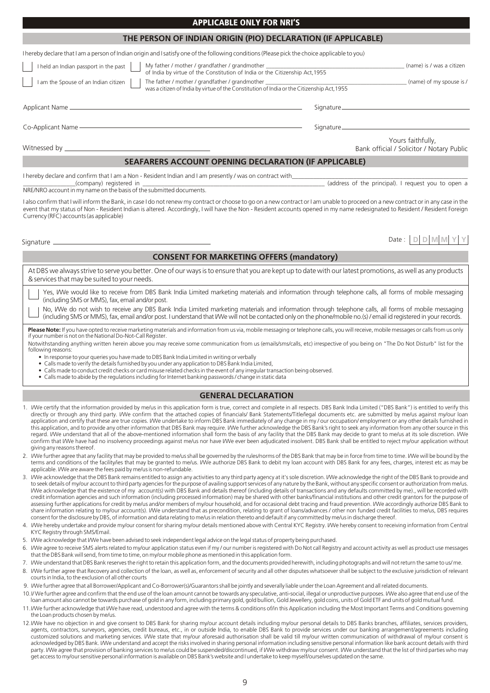| THE PERSON OF INDIAN ORIGIN (PIO) DECLARATION (IF APPLICABLE)                                                                                                                                                                                                                                                                                                                                                 |                           |                                                                |
|---------------------------------------------------------------------------------------------------------------------------------------------------------------------------------------------------------------------------------------------------------------------------------------------------------------------------------------------------------------------------------------------------------------|---------------------------|----------------------------------------------------------------|
| I hereby declare that I am a person of Indian origin and I satisfy one of the following conditions (Please pick the choice applicable to you)                                                                                                                                                                                                                                                                 |                           |                                                                |
| My father / mother / grandfather / grandmother _________________________________<br>I held an Indian passport in the past<br>of India by virtue of the Constitution of India or the Citizenship Act, 1955                                                                                                                                                                                                     | (name) is / was a citizen |                                                                |
| I am the Spouse of an Indian citizen<br>The father / mother / grandfather / grandmother ________________________________<br>was a citizen of India by virtue of the Constitution of India or the Citizenship Act, 1955                                                                                                                                                                                        |                           | (name) of my spouse is /                                       |
|                                                                                                                                                                                                                                                                                                                                                                                                               |                           | Signature                                                      |
| Co-Applicant Name -                                                                                                                                                                                                                                                                                                                                                                                           | Signature                 |                                                                |
|                                                                                                                                                                                                                                                                                                                                                                                                               |                           | Yours faithfully,<br>Bank official / Solicitor / Notary Public |
| <b>SEAFARERS ACCOUNT OPENING DECLARATION (IF APPLICABLE)</b>                                                                                                                                                                                                                                                                                                                                                  |                           |                                                                |
| I hereby declare and confirm that I am a Non - Resident Indian and I am presently / was on contract with<br>(company) registered in<br>NRE/NRO account in my name on the basis of the submitted documents.                                                                                                                                                                                                    |                           | (address of the principal). I request you to open a            |
| I also confirm that I will inform the Bank, in case I do not renew my contract or choose to go on a new contract or I am unable to proceed on a new contract or in any case in the<br>event that my status of Non - Resident Indian is altered. Accordingly, I will have the Non - Resident accounts opened in my name redesignated to Resident / Resident Foreign<br>Currency (RFC) accounts (as applicable) |                           |                                                                |
|                                                                                                                                                                                                                                                                                                                                                                                                               |                           | Date:                                                          |

APPLICABLE ONLY FOR NRI'S

# **CONSENT FOR MARKETING OFFERS (mandatory)**

At DBS we always strive to serve you better. One of our ways is to ensure that you are kept up to date with our latest promotions, as well as any products & services that may be suited to your needs.

Yes, I/We would like to receive from DBS Bank India Limited marketing materials and information through telephone calls, all forms of mobile messaging (including SMS or MMS), fax, email and/or post.

No, I/We do not wish to receive any DBS Bank India Limited marketing materials and information through telephone calls, all forms of mobile messaging (including SMS or MMS), fax, email and/or post. I understand that I/We will not be contacted only on the phone/mobile no.(s) / email id registered in your records.

**Please Note:** If you have opted to receive marketing materials and information from us via, mobile messaging or telephone calls, you will receive, mobile messages or calls from us only<br>if your number is not on the Nationa

Notwithstanding anything written herein above you may receive some communication from us (emails/sms/calls, etc) irrespective of you being on "The Do Not Disturb" list for the following reasons:

- In response to your queries you have made to DBS Bank India Limited in writing or verbally
- Calls made to verify the details furnished by you under any application to DBS Bank India Limited,
- Calls made to conduct credit checks or card misuse related checks in the event of any irregular transaction being observed.
- Calls made to abide by the regulations including for Internet banking passwords / change in static data

## **GENERAL DECLARATION**

- 1. I/We certify that the information provided by me/us in this application form is true, correct and complete in all respects. DBS Bank India Limited ("DBS Bank") is entitled to verify this directly or through any third party. I/We confirm that the attached copies of financials/ Bank Statements/Title/legal documents etc. are submitted by me/us against my/our loan application and certify that these are true copies. I/We undertake to inform DBS Bank immediately of any change in my / our occupation/ employment or any other details furnished in this application, and to provide any other information that DBS Bank may require. I/We further acknowledge the DBS Bank's right to seek any information from any other source in this regard. I/We understand that all of the above-mentioned information shall form the basis of any facility that the DBS Bank may decide to grant to me/us at its sole discretion. I/We confirm that I/We have had no insolvency proceedings against me/us nor have I/We ever been adjudicated insolvent. DBS Bank shall be entitled to reject my/our application without giving any reasons thereof.
- 2. I/We further agree that any facility that may be provided to me/us shall be governed by the rules/norms of the DBS Bank that may be in force from time to time. I/We will be bound by the terms and conditions of the facility/ies that may be granted to me/us. I/We authorize DBS Bank to debit my loan account with DBS Bank for any fees, charges, interest etc as may be applicable. I/We are aware the fees paid by me/us is non-refundable.
- 3. I/We acknowledge that the DBS Bank remains entitled to assign any activities to any third party agency at it's sole discretion. I/We acknowledge the right of the DBS Bank to provide and to seek details of my/our account to third party agencies for the purpose of availing support services of any nature by the Bank, without any specific consent or authorization from me/us. I/We acknowledge that the existence of my account(s) with DBS Bank and details thereof (including details of transactions and any defaults committed by me)., will be recorded with credit information agencies and such information (including processed information) may be shared with other banks/financial institutions and other credit grantors for the purpose of assessing further applications for credit by me/us and/or members of my/our household, and for occasional debt tracing and fraud prevention. I/We accordingly authorize DBS Bank to share information relating to my/our account(s). I/We understand that as precondition, relating to grant of loans/advances / other non funded credit facilities to me/us, DBS requires consent for the disclosure by DBS, of information and data relating to me/us in relation thereto and default if any committed by me/us in discharge thereof.
- 4. I/We hereby undertake and provide my/our consent for sharing my/our details mentioned above with Central KYC Registry. I/We hereby consent to receiving information from Central KYC Registry through SMS/Email.
- 5. I/We acknowledge that I/We have been advised to seek independent legal advice on the legal status of property being purchased.
- 6. I/We agree to receive SMS alerts related to my/our application status even if my / our number is registered with Do Not call Registry and account activity as well as product use messages that the DBS Bank will send, from time to time, on my/our mobile phone as mentioned in this application form.
- 7. I/We understand that DBS Bank reserves the right to retain this application form, and the documents provided herewith, including photographs and will not return the same to us/ me.
- 8. I/We further agree that Recovery and collection of the loan, as well as, enforcement of security and all other disputes whatsoever shall be subject to the exclusive jurisdiction of relevant courts in India, to the exclusion of all other courts
- 9. I/We further agree that all Borrower/Applicant and Co-Borrower(s)/Guarantors shall be jointly and severally liable under the Loan Agreement and all related documents.
- 10. I/ We further agree and confirm that the end use of the loan amount cannot be towards any speculative, anti-social, illegal or unproductive purposes. I/We also agree that end use of the loan amount also cannot be towards purchase of gold in any form, including primary gold, gold bullion, Gold Jewellery, gold coins, units of Gold ETF and units of gold mutual fund.
- 11. I/We further acknowledge that I/We have read, understood and agree with the terms & conditions of/in this Application including the Most Important Terms and Conditions governing the Loan products chosen by me/us.
- 12.I/We have no objection in and give consent to DBS Bank for sharing my/our account details including my/our personal details to DBS Banks branches, affiliates, services providers, agents, contractors, surveyors, agencies, credit bureaus, etc., in or outside India, to enable DBS Bank to provide services under our banking arrangement/agreements including customized solutions and marketing services. I/We state that my/our aforesaid authorisation shall be valid till my/our written communication of withdrawal of my/our consent is acknowledged by DBS Bank. I/We understand and accept the risks involved in sharing personal information including sensitive personal information like bank account details with third party. I/We agree that provision of banking services to me/us could be suspended/discontinued, if I/We withdraw my/our consent. I/We understand that the list of third parties who may get access to my/our sensitive personal information is available on DBS Bank's website and I undertake to keep myself/ourselves updated on the same.

9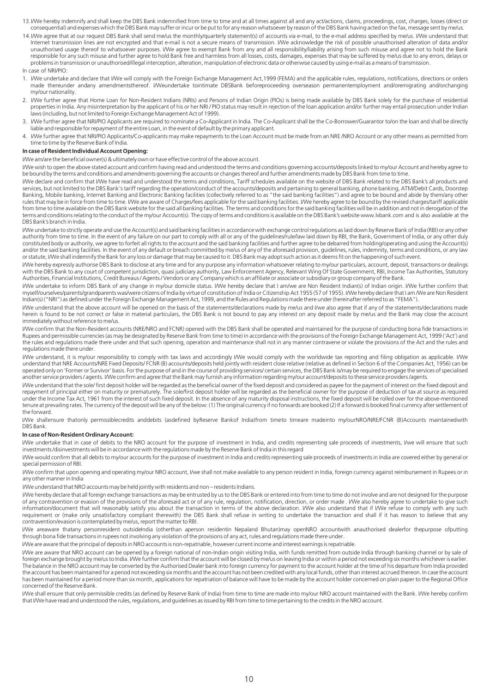- 13. I/We hereby indemnify and shall keep the DBS Bank indemnified from time to time and at all times against all and any act/actions, claims, proceedings, cost, charges, losses (direct or consequential) and expenses which the DBS Bank may suffer or incur or be put to for any reason whatsoever by reason of the DBS Bank having acted on the fax, message sent by me/us.
- 14.I/We agree that at our request DBS Bank shall send me/us the monthly/quarterly statement(s) of accounts via e-mail, to the e-mail address specified by me/us. I/We understand that Internet transmission lines are not encrypted and that e-mail is not a secure means of transmission. I/We acknowledge the risk of possible unauthorised alteration of data and/or unauthorised usage thereof to whatsoever purposes. I/We agree to exempt Bank from any and all responsibility/liability arising from such misuse and agree not to hold the Bank responsible for any such misuse and further agree to hold Bank free and harmless from all losses, costs, damages, expenses that may be suffered by me/us due to any errors, delays or problems in transmission or unauthorised/illegal interception, alteration, manipulation of electronic data or otherwise caused by using e-mail as a means of transmission.

In case of NRI/PIO:

- 1. I/We undertake and declare that I/We will comply with the Foreign Exchange Management Act,1999 (FEMA) and the applicable rules, regulations, notifications, directions or orders made thereunder andany amendmentsthereof. I/We undertake to intimate DBSBank before proceeding overseason permanentemployment and/oremigrating and/orchanging my/our nationality.
- 2. I/We further agree that Home Loan for Non-Resident Indians (NRIs) and Persons of Indian Origin (PIOs) is being made available by DBS Bank solely for the purchase of residential properties in India. Any misinterpretation by the applicant of his or her NRI / PIO status may result in rejection of the loan application and/or further may entail prosecution under Indian laws (including, but not limited to Foreign Exchange Management Act of 1999).
- 3. I/We further agree that NRI/PIO Applicants are required to nominate a Co-Applicant in India. The Co-Applicant shall be the Co-Borrower/Guarantor to/on the loan and shall be directly liable and responsible for repayment of the entire Loan, in the event of default by the primary applicant.
- 4. I/We further agree that NRI/PIO Applicants/Co-applicants may make repayments to the Loan Account must be made from an NRE /NRO Account or any other means as permitted from time to time by the Reserve Bank of India.

#### **In case of Resident Individual Account Opening:**

I/We am/are the beneficial owner(s) & ultimately own or have effective control of the above account.

I/We wish to open the above stated account and confirm having read and understood the terms and conditions governing accounts/deposits linked to my/our Account and hereby agree to be bound by the terms and conditions and amendments governing the accounts or changes thereof and further amendments made by DBS Bank from time to time.

I/We declare and confirm that I/We have read and understood the terms and conditions, Tariff schedules available on the website of DBS Bank related to the DBS Bank's all products and services, but not limited to the DBS Bank's tariff regarding the operation/conduct of the accounts/deposits and pertaining to general banking, phone banking, ATM/Debit Cards, Doorstep Banking, Mobile banking, Internet Banking and Electronic Banking facilities (collectively referred to as "the said banking facilities") and agree to be bound and abide by them/any other rules that may be in force from time to time. I/We are aware of Charges/fees applicable for the said banking facilities. I/We hereby agree to be bound by the revised charges/tariff applicable from time to time available on the DBS Bank website for the said all banking facilities. The terms and conditions for the said banking facilities will be in addition and not in derogation of the terms and conditions relating to the conduct of the my/our Account(s). The copy of terms and conditions is available on the DBS Bank's website www.lvbank.com and is also available at the DBS Bank's branch in India.

I/We undertake to strictly operate and use the Account(s) and said banking facilities in accordance with exchange control regulations as laid down by Reserve Bank of India (RBI) or any other authority from time to time. In the event of any failure on our part to comply with all or any of the guidelines/rule/law laid down by RBI, the Bank, Government of India, or any other duly constituted body or authority, we agree to forfeit all rights to the account and the said banking facilities and further agree to be debarred from holding/operating and using the Account(s) and/or the said banking facilities. In the event of any default or breach committed by me/us of any of the aforesaid provision, guidelines, rules, indemnity, terms and conditions, or any law or statute, I/We shall indemnify the Bank for any loss or damage that may be caused to it. DBS Bank may adopt such action as it deems fit on the happening of such event.

I/We hereby expressly authorise DBS Bank to disclose at any time and for any purpose any information whatsoever relating to my/our particulars, account, deposit, transactions or dealings with the DBS Bank to any court of competent jurisdiction, quasi judiciary authority, Law Enforcement Agency, Relevant Wing Of State Government, RBI, Income Tax Authorities, Statutory Authorities, Financial Institutions, Credit Bureaus / Agents / Vendors or any Company which is an affiliate or associate or subsidiary or group company of the Bank.

I/We undertake to inform DBS Bank of any change in my/our domicile status. I/We hereby declare that I am/we are Non Resident Indian(s) of Indian origin. I/We further confirm that myself/ourselves/parents/grandparents was/were citizens of India by virtue of constitution of India or Citizenship Act 1955 (57 of 1955). I/We hereby declare that I am /We are Non Resident Indian(s) ("NRI") as defined under the Foreign Exchange Management Act, 1999, and the Rules and Regulations made there under (hereinafter referred to as "FEMA").

I/We understand that the above account will be opened on the basis of the statements/declarations made by me/us and I/we also agree that if any of the statements/declarations made herein is found to be not correct or false in material particulars, the DBS Bank is not bound to pay any interest on any deposit made by me/us and the Bank may close the account immediately without reference to me/us.

I/We confirm that the Non-Resident accounts (NRE/NRO and FCNR) opened with the DBS Bank shall be operated and maintained for the purpose of conducting bona fide transactions in Rupees and permissible currencies (as may be designated by Reserve Bank from time to time) in accordance with the provisions of the Foreign Exchange Management Act, 1999 ('Act') and the rules and regulations made there under and that such opening, operation and maintenance shall not in any manner contravene or violate the provisions of the Act and the rules and regulations made there under.

I/We understand, it is my/our responsibility to comply with tax laws and accordingly I/We would comply with the worldwide tax reporting and filing obligation as applicable. I/We understand that NRE Accounts/NRE Fixed Deposits/ FCNR (B) accounts/deposits held jointly with resident close relative (relative as defined in Section 6 of the Companies Act, 1956) can be operated only on 'Former or Survivor' basis. For the purpose of and in the course of providing services/ certain services, the DBS Bank is/may be required to engage the services of specialised another service providers / agents. I/We confirm and agree that the Bank may furnish any information regarding my/our account/deposits to these service providers /agents.

I/We understand that the sole/ first deposit holder will be regarded as the beneficial owner of the fixed deposit and considered as payee for the payment of interest on the fixed deposit and repayment of principal either on maturity or prematurely. The sole/first deposit holder will be regarded as the beneficial owner for the purpose of deduction of tax at source as required under the Income Tax Act, 1961 from the interest of such fixed deposit. In the absence of any maturity disposal instructions, the fixed deposit will be rolled over for the above-mentioned tenure at prevailing rates. The currency of the deposit will be any of the below: (1) The original currency if no forwards are booked (2) If a forward is booked final currency after settlement of the forward.

I/We shallensure that only permissible credits and debits (as defined by Reserve Bank of India) from time to time are madeinto my/our NRO/NRE/FCNR (B) Accounts maintained with DBS Bank.

#### **In case of Non-Resident Ordinary Account:**

I/We undertake that in case of debits to the NRO account for the purpose of investment in India, and credits representing sale proceeds of investments, I/we will ensure that such investments /disinvestments will be in accordance with the regulations made by the Reserve Bank of India in this regard

I/We would confirm that all debits to my/our accounts for the purpose of investment in India and credits representing sale proceeds of investments in India are covered either by general or special permission of RBI.

I/We confirm that upon opening and operating my/our NRO account, I/we shall not make available to any person resident in India, foreign currency against reimbursement in Rupees or in any other manner in India

I/We understand that NRO accounts may be held jointly with residents and non – residents Indians.

I/We hereby declare that all foreign exchange transactions as may be entrusted by us to the DBS Bank or entered into from time to time do not involve and are not designed for the purpose of any contravention or evasion of the provisions of the aforesaid act or of any rule, regulation, notification, direction, or order made . I/We also hereby agree to undertake to give such information/document that will reasonably satisfy you about the transaction in terms of the above declaration. I/We also understand that if I/We refuse to comply with any such requirement or (make only unsatisfactory compliant therewith) the DBS Bank shall refuse in writing to undertake the transaction and shall if it has reason to believe that any contravention/evasion is contemplated by me/us, report the matter to RBI.

I/We areaware thatany personresident outsidelndia (otherthan aperson residentin Nepaland Bhutan) may openNRO account with anauthorised dealer for the purpose of putting through bona fide transactions in rupees not involving any violation of the provisions of any act, rules and regulations made there under.

I/We are aware that the principal of deposits in NRO accounts is non-repatriable, however current income and interest earnings is repatriable.

I/We are aware that NRO account can be opened by a foreign national of non-Indian origin visiting India, with funds remitted from outside India through banking channel or by sale of foreign exchange brought by me/us to India. I/We further confirm that the account will be closed by me/us on leaving India or within a period not exceeding six months whichever is earlier. The balance in the NRO account may be converted by the Authorised Dealer bank into foreign currency for payment to the account holder at the time of his departure from India provided the account has been maintained for a period not exceeding six months and the account has not been credited with any local funds, other than interest accrued thereon. In case the account has been maintained for a period more than six month, applications for repatriation of balance will have to be made by the account holder concerned on plain paper to the Regional Office concerned of the Reserve Bank.

I/We shall ensure that only permissible credits (as defined by Reserve Bank of India) from time to time are made into my/our NRO account maintained with the Bank. I/We hereby confirm that I/We have read and understood the rules, regulations, and guidelines as issued by RBI from time to time pertaining to the credits in the NRO account.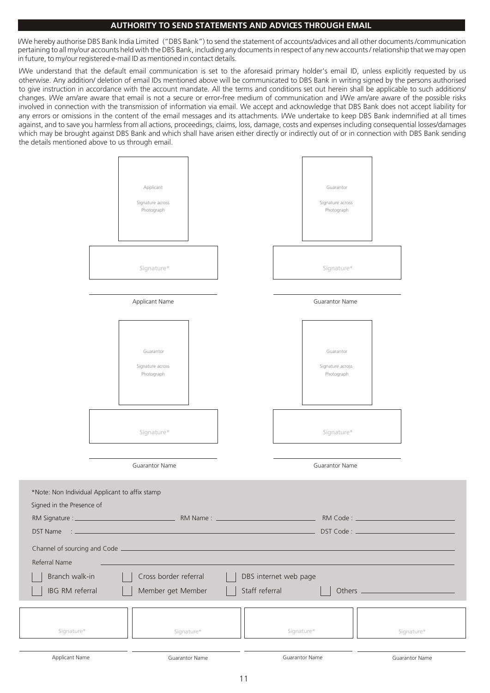# **AUTHORITY TO SEND STATEMENTS AND ADVICES THROUGH EMAIL**

I/We hereby authorise DBS Bank India Limited ("DBS Bank") to send the statement of accounts/advices and all other documents /communication pertaining to all my/our accounts held with the DBS Bank, including any documents in respect of any new accounts / relationship that we may open in future, to my/our registered e-mail ID as mentioned in contact details.

I/We understand that the default email communication is set to the aforesaid primary holder's email ID, unless explicitly requested by us otherwise. Any addition/ deletion of email IDs mentioned above will be communicated to DBS Bank in writing signed by the persons authorised to give instruction in accordance with the account mandate. All the terms and conditions set out herein shall be applicable to such additions/ changes. I/We am/are aware that email is not a secure or error-free medium of communication and I/We am/are aware of the possible risks involved in connection with the transmission of information via email. We accept and acknowledge that DBS Bank does not accept liability for any errors or omissions in the content of the email messages and its attachments. I/We undertake to keep DBS Bank indemnified at all times against, and to save you harmless from all actions, proceedings, claims, loss, damage, costs and expenses including consequential losses/damages which may be brought against DBS Bank and which shall have arisen either directly or indirectly out of or in connection with DBS Bank sending the details mentioned above to us through email.

|                                                                                                             |                       | Applicant<br>Signature across<br>Photograph |            |                       |            | Guarantor<br>Signature across<br>Photograph |            |
|-------------------------------------------------------------------------------------------------------------|-----------------------|---------------------------------------------|------------|-----------------------|------------|---------------------------------------------|------------|
|                                                                                                             |                       | Signature*                                  |            |                       |            | Signature*                                  |            |
|                                                                                                             |                       | Applicant Name                              |            |                       |            | Guarantor Name                              |            |
|                                                                                                             |                       | Guarantor<br>Signature across<br>Photograph |            |                       |            | Guarantor<br>Signature across<br>Photograph |            |
|                                                                                                             |                       | Signature*                                  |            |                       |            | Signature*                                  |            |
|                                                                                                             |                       | Guarantor Name                              |            |                       |            | Guarantor Name                              |            |
| *Note: Non Individual Applicant to affix stamp<br>Signed in the Presence of<br>RM Signature : _<br>DST Name |                       |                                             | RM Name: _ |                       |            | RM Code: _<br>DST Code: _                   |            |
| Channel of sourcing and Code _<br>Referral Name                                                             |                       |                                             |            |                       |            |                                             |            |
| Branch walk-in                                                                                              |                       | Cross border referral                       |            | DBS internet web page |            |                                             |            |
| IBG RM referral                                                                                             |                       | Member get Member                           |            | Staff referral        |            | Others .                                    |            |
| Signature*                                                                                                  |                       | Signature*                                  |            |                       | Signature* |                                             | Signature* |
| Applicant Name                                                                                              | <b>Guarantor Name</b> |                                             |            | Guarantor Name        |            | <b>Guarantor Name</b>                       |            |

Signed \*Note:

 $Chanr$ Referr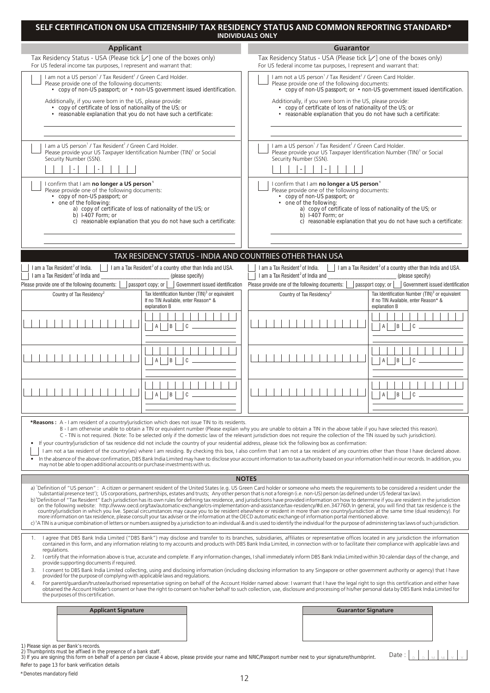|                                                                                                                                                                                                                                                                                                                                                                                                                                                                                                                                                                                                                                                                                                                                                                                                                                                                                                                                                                                                                                                                                                         | SELF CERTIFICATION ON USA CITIZENSHIP/ TAX RESIDENCY STATUS AND COMMON REPORTING STANDARD*<br><b>INDIVIDUALS ONLY</b>                                                                                                                                                                                                                                                                                                                                                                                                                                                                                                                                                                                                                                                                                                                                                                                                                                                                                                                                                                                                                                                                      |  |  |  |
|---------------------------------------------------------------------------------------------------------------------------------------------------------------------------------------------------------------------------------------------------------------------------------------------------------------------------------------------------------------------------------------------------------------------------------------------------------------------------------------------------------------------------------------------------------------------------------------------------------------------------------------------------------------------------------------------------------------------------------------------------------------------------------------------------------------------------------------------------------------------------------------------------------------------------------------------------------------------------------------------------------------------------------------------------------------------------------------------------------|--------------------------------------------------------------------------------------------------------------------------------------------------------------------------------------------------------------------------------------------------------------------------------------------------------------------------------------------------------------------------------------------------------------------------------------------------------------------------------------------------------------------------------------------------------------------------------------------------------------------------------------------------------------------------------------------------------------------------------------------------------------------------------------------------------------------------------------------------------------------------------------------------------------------------------------------------------------------------------------------------------------------------------------------------------------------------------------------------------------------------------------------------------------------------------------------|--|--|--|
| <b>Applicant</b>                                                                                                                                                                                                                                                                                                                                                                                                                                                                                                                                                                                                                                                                                                                                                                                                                                                                                                                                                                                                                                                                                        | <b>Guarantor</b>                                                                                                                                                                                                                                                                                                                                                                                                                                                                                                                                                                                                                                                                                                                                                                                                                                                                                                                                                                                                                                                                                                                                                                           |  |  |  |
| Tax Residency Status - USA (Please tick [√] one of the boxes only)<br>For US federal income tax purposes, I represent and warrant that:                                                                                                                                                                                                                                                                                                                                                                                                                                                                                                                                                                                                                                                                                                                                                                                                                                                                                                                                                                 | Tax Residency Status - USA (Please tick $[\angle]$ one of the boxes only)<br>For US federal income tax purposes, I represent and warrant that:                                                                                                                                                                                                                                                                                                                                                                                                                                                                                                                                                                                                                                                                                                                                                                                                                                                                                                                                                                                                                                             |  |  |  |
| I am not a US person <sup>1</sup> / Tax Resident <sup>2</sup> / Green Card Holder.<br>Please provide one of the following documents:<br>• copy of non-US passport; or • non-US government issued identification.<br>Additionally, if you were born in the US, please provide:<br>• copy of certificate of loss of nationality of the US; or<br>• reasonable explanation that you do not have such a certificate:                                                                                                                                                                                                                                                                                                                                                                                                                                                                                                                                                                                                                                                                                        | I am not a US person <sup>1</sup> / Tax Resident <sup>2</sup> / Green Card Holder.<br>Please provide one of the following documents:<br>• copy of non-US passport; or • non-US government issued identification.<br>Additionally, if you were born in the US, please provide:<br>• copy of certificate of loss of nationality of the US; or<br>• reasonable explanation that you do not have such a certificate:                                                                                                                                                                                                                                                                                                                                                                                                                                                                                                                                                                                                                                                                                                                                                                           |  |  |  |
| I am a US person <sup>1</sup> / Tax Resident <sup>2</sup> / Green Card Holder.<br>Please provide your US Taxpayer Identification Number (TIN) <sup>3</sup> or Social<br>Security Number (SSN).                                                                                                                                                                                                                                                                                                                                                                                                                                                                                                                                                                                                                                                                                                                                                                                                                                                                                                          | I am a US person <sup>1</sup> / Tax Resident <sup>2</sup> / Green Card Holder.<br>Please provide your US Taxpayer Identification Number (TIN) <sup>3</sup> or Social<br>Security Number (SSN).                                                                                                                                                                                                                                                                                                                                                                                                                                                                                                                                                                                                                                                                                                                                                                                                                                                                                                                                                                                             |  |  |  |
| I confirm that I am no longer a US person <sup>1</sup><br>Please provide one of the following documents:<br>• copy of non-US passport; or<br>one of the following:<br>a) copy of certificate of loss of nationality of the US; or<br>b) $1-407$ Form: or<br>c) reasonable explanation that you do not have such a certificate:                                                                                                                                                                                                                                                                                                                                                                                                                                                                                                                                                                                                                                                                                                                                                                          | I confirm that I am no longer a US person <sup>1</sup><br>Please provide one of the following documents:<br>• copy of non-US passport; or<br>• one of the following:<br>a) copy of certificate of loss of nationality of the US; or<br>b) $1-407$ Form: or<br>c) reasonable explanation that you do not have such a certificate:                                                                                                                                                                                                                                                                                                                                                                                                                                                                                                                                                                                                                                                                                                                                                                                                                                                           |  |  |  |
| TAX RESIDENCY STATUS - INDIA AND COUNTRIES OTHER THAN USA                                                                                                                                                                                                                                                                                                                                                                                                                                                                                                                                                                                                                                                                                                                                                                                                                                                                                                                                                                                                                                               |                                                                                                                                                                                                                                                                                                                                                                                                                                                                                                                                                                                                                                                                                                                                                                                                                                                                                                                                                                                                                                                                                                                                                                                            |  |  |  |
| I am a Tax Resident <sup>2</sup> of India.<br>$\vert$ 1 am a Tax Resident <sup>2</sup> of a country other than India and USA.<br>I am a Tax Resident <sup>2</sup> of India and<br>(please specify)                                                                                                                                                                                                                                                                                                                                                                                                                                                                                                                                                                                                                                                                                                                                                                                                                                                                                                      | I am a Tax Resident <sup>2</sup> of India.<br>I am a Tax Resident <sup>2</sup> of a country other than India and USA.<br>I am a Tax Resident <sup>2</sup> of India and<br>(please specify)                                                                                                                                                                                                                                                                                                                                                                                                                                                                                                                                                                                                                                                                                                                                                                                                                                                                                                                                                                                                 |  |  |  |
| Please provide one of the following documents:<br>passport copy; or                                                                                                                                                                                                                                                                                                                                                                                                                                                                                                                                                                                                                                                                                                                                                                                                                                                                                                                                                                                                                                     | Government issued identification  Please provide one of the following documents:<br>passport copy; or   Government issued identification                                                                                                                                                                                                                                                                                                                                                                                                                                                                                                                                                                                                                                                                                                                                                                                                                                                                                                                                                                                                                                                   |  |  |  |
| Tax Identification Number (TIN) <sup>3</sup> or equivalent<br>Country of Tax Residency <sup>2</sup><br>If no TIN Available, enter Reason* &<br>explanation B                                                                                                                                                                                                                                                                                                                                                                                                                                                                                                                                                                                                                                                                                                                                                                                                                                                                                                                                            | Tax Identification Number (TIN) <sup>3</sup> or equivalent<br>Country of Tax Residency <sup>2</sup><br>If no TIN Available, enter Reason* &<br>explanation B                                                                                                                                                                                                                                                                                                                                                                                                                                                                                                                                                                                                                                                                                                                                                                                                                                                                                                                                                                                                                               |  |  |  |
| B <br>$\mathsf{A}$<br>C                                                                                                                                                                                                                                                                                                                                                                                                                                                                                                                                                                                                                                                                                                                                                                                                                                                                                                                                                                                                                                                                                 | B <br>$\mathsf{A}$<br>$\overline{C}$                                                                                                                                                                                                                                                                                                                                                                                                                                                                                                                                                                                                                                                                                                                                                                                                                                                                                                                                                                                                                                                                                                                                                       |  |  |  |
| Iв.<br>$\mathsf{A}$<br>C                                                                                                                                                                                                                                                                                                                                                                                                                                                                                                                                                                                                                                                                                                                                                                                                                                                                                                                                                                                                                                                                                | B <br>C                                                                                                                                                                                                                                                                                                                                                                                                                                                                                                                                                                                                                                                                                                                                                                                                                                                                                                                                                                                                                                                                                                                                                                                    |  |  |  |
| B                                                                                                                                                                                                                                                                                                                                                                                                                                                                                                                                                                                                                                                                                                                                                                                                                                                                                                                                                                                                                                                                                                       | .                                                                                                                                                                                                                                                                                                                                                                                                                                                                                                                                                                                                                                                                                                                                                                                                                                                                                                                                                                                                                                                                                                                                                                                          |  |  |  |
| *Reasons: A - I am resident of a country/jurisdiction which does not issue TIN to its residents.<br>B - I am otherwise unable to obtain a TIN or equivalent number (Please explain why you are unable to obtain a TIN in the above table if you have selected this reason).<br>C - TIN is not required. (Note: To be selected only if the domestic law of the relevant jurisdiction does not require the collection of the TIN issued by such jurisdiction).<br>If your country/jurisdiction of tax residence did not include the country of your residential address, please tick the following box as confirmation:<br>I am not a tax resident of the country(ies) where I am residing. By checking this box, I also confirm that I am not a tax resident of any countries other than those I have declared above.<br>In the absence of the above confirmation, DBS Bank India Limited may have to disclose your account information to tax authority based on your information held in our records. In addition, you<br>may not be able to open additional accounts or purchase investments with us. |                                                                                                                                                                                                                                                                                                                                                                                                                                                                                                                                                                                                                                                                                                                                                                                                                                                                                                                                                                                                                                                                                                                                                                                            |  |  |  |
|                                                                                                                                                                                                                                                                                                                                                                                                                                                                                                                                                                                                                                                                                                                                                                                                                                                                                                                                                                                                                                                                                                         | <b>NOTES</b>                                                                                                                                                                                                                                                                                                                                                                                                                                                                                                                                                                                                                                                                                                                                                                                                                                                                                                                                                                                                                                                                                                                                                                               |  |  |  |
| 'substantial presence test'); US corporations, partnerships, estates and trusts; Any other person that is not a foreign (i.e. non-US) person (as defined under US federal tax law).<br>more information on tax residence, please consult your tax adviser or the information at the OECD automatic exchange of information portal mentioned above.                                                                                                                                                                                                                                                                                                                                                                                                                                                                                                                                                                                                                                                                                                                                                      | a) 'Definition of "US person": A citizen or permanent resident of the United States (e.g. US Green Card holder or someone who meets the requirements to be considered a resident under the<br>b) <sup>2</sup> Definition of "Tax Resident" Each jurisdiction has its own rules for defining tax residence, and jurisdictions have provided information on how to determine if you are resident in the jurisdiction<br>on the following website: http://www.oecd.org/tax/automatic-exchange/crs-implementation-and-assistance/tax-residency/#d.en.347760\ In general, you will find that tax residence is the<br>country/jurisdiction in which you live. Special circumstances may cause you to be resident elsewhere or resident in more than one country/jurisdiction at the same time (dual residency). For<br>c) <sup>3</sup> A TIN is a unique combination of letters or numbers assigned by a jurisdiction to an individual & and is used to identify the individual for the purpose of administering tax laws of such jurisdiction.                                                                                                                                                  |  |  |  |
| regulations.<br>2.<br>provide supporting documents if required.<br>3.<br>provided for the purpose of complying with applicable laws and regulations.<br>4.<br>the purposes of this certification.                                                                                                                                                                                                                                                                                                                                                                                                                                                                                                                                                                                                                                                                                                                                                                                                                                                                                                       | 1. I agree that DBS Bank India Limited ("DBS Bank") may disclose and transfer to its branches, subsidiaries, affiliates or representative offices located in any jurisdiction the information<br>contained in this form, and any information relating to my accounts and products with DBS Bank India Limited, in connection with or to facilitate their compliance with applicable laws and<br>I certify that the information above is true, accurate and complete. If any information changes, I shall immediately inform DBS Bank India Limited within 30 calendar days of the change, and<br>I consent to DBS Bank India Limited collecting, using and disclosing information (including disclosing information to any Singapore or other government authority or agency) that I have<br>For parent/quardian/trustee/authorised representative signing on behalf of the Account Holder named above: I warrant that I have the legal right to sign this certification and either have<br>obtained the Account Holder's consent or have the right to consent on his/her behalf to such collection, use, disclosure and processing of his/her personal data by DBS Bank India Limited for |  |  |  |
| <b>Applicant Signature</b>                                                                                                                                                                                                                                                                                                                                                                                                                                                                                                                                                                                                                                                                                                                                                                                                                                                                                                                                                                                                                                                                              | <b>Guarantor Signature</b>                                                                                                                                                                                                                                                                                                                                                                                                                                                                                                                                                                                                                                                                                                                                                                                                                                                                                                                                                                                                                                                                                                                                                                 |  |  |  |
| 1) Please sign as per Bank's records.<br>2) Thumbprints must be affixed in the presence of a bank staff.<br>3) If you are signing this form on behalf of a person per clause 4 above, please provide your name and NRIC/Passport number next to your signature/thumbprint.                                                                                                                                                                                                                                                                                                                                                                                                                                                                                                                                                                                                                                                                                                                                                                                                                              | Date:                                                                                                                                                                                                                                                                                                                                                                                                                                                                                                                                                                                                                                                                                                                                                                                                                                                                                                                                                                                                                                                                                                                                                                                      |  |  |  |

| *Denotes mandatory field |
|--------------------------|
|--------------------------|

*Refer to page 13 for bank verification details*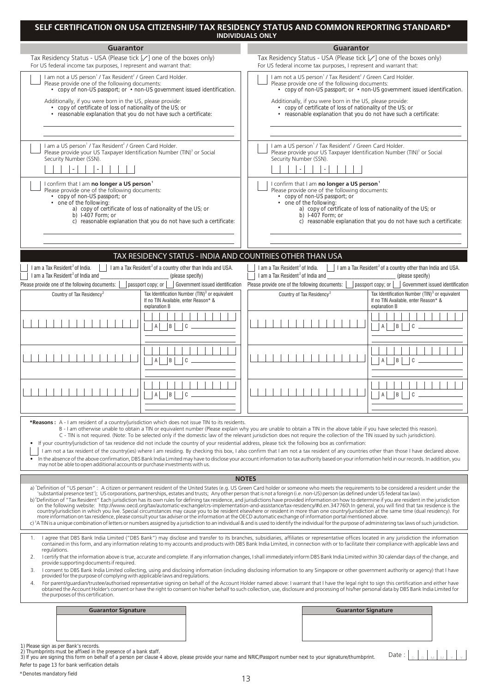|                                                                                                                                                                                                                                                                                                                                                                                                                                                                                                                                                                                                                                                                                                                                                                                                                                                                                                                                                                                                                                                                                                         | SELF CERTIFICATION ON USA CITIZENSHIP/ TAX RESIDENCY STATUS AND COMMON REPORTING STANDARD*<br><b>INDIVIDUALS ONLY</b>                                                                                                                                                                                                                                                                                                                                                                                                                                                                                                                                                                                                                                                                                                                                                                                                                                                                                                                                                                                                                                                                   |  |  |  |
|---------------------------------------------------------------------------------------------------------------------------------------------------------------------------------------------------------------------------------------------------------------------------------------------------------------------------------------------------------------------------------------------------------------------------------------------------------------------------------------------------------------------------------------------------------------------------------------------------------------------------------------------------------------------------------------------------------------------------------------------------------------------------------------------------------------------------------------------------------------------------------------------------------------------------------------------------------------------------------------------------------------------------------------------------------------------------------------------------------|-----------------------------------------------------------------------------------------------------------------------------------------------------------------------------------------------------------------------------------------------------------------------------------------------------------------------------------------------------------------------------------------------------------------------------------------------------------------------------------------------------------------------------------------------------------------------------------------------------------------------------------------------------------------------------------------------------------------------------------------------------------------------------------------------------------------------------------------------------------------------------------------------------------------------------------------------------------------------------------------------------------------------------------------------------------------------------------------------------------------------------------------------------------------------------------------|--|--|--|
| <b>Guarantor</b>                                                                                                                                                                                                                                                                                                                                                                                                                                                                                                                                                                                                                                                                                                                                                                                                                                                                                                                                                                                                                                                                                        | <b>Guarantor</b>                                                                                                                                                                                                                                                                                                                                                                                                                                                                                                                                                                                                                                                                                                                                                                                                                                                                                                                                                                                                                                                                                                                                                                        |  |  |  |
| Tax Residency Status - USA (Please tick [√] one of the boxes only)<br>For US federal income tax purposes, I represent and warrant that:                                                                                                                                                                                                                                                                                                                                                                                                                                                                                                                                                                                                                                                                                                                                                                                                                                                                                                                                                                 | Tax Residency Status - USA (Please tick $[\angle]$ one of the boxes only)                                                                                                                                                                                                                                                                                                                                                                                                                                                                                                                                                                                                                                                                                                                                                                                                                                                                                                                                                                                                                                                                                                               |  |  |  |
| I am not a US person <sup>1</sup> / Tax Resident <sup>2</sup> / Green Card Holder.<br>Please provide one of the following documents:<br>• copy of non-US passport; or • non-US government issued identification.<br>Additionally, if you were born in the US, please provide:<br>• copy of certificate of loss of nationality of the US; or<br>• reasonable explanation that you do not have such a certificate:                                                                                                                                                                                                                                                                                                                                                                                                                                                                                                                                                                                                                                                                                        | For US federal income tax purposes, I represent and warrant that:<br>I am not a US person <sup>1</sup> / Tax Resident <sup>2</sup> / Green Card Holder.<br>Please provide one of the following documents:<br>• copy of non-US passport; or • non-US government issued identification.<br>Additionally, if you were born in the US, please provide:<br>• copy of certificate of loss of nationality of the US; or<br>• reasonable explanation that you do not have such a certificate:                                                                                                                                                                                                                                                                                                                                                                                                                                                                                                                                                                                                                                                                                                   |  |  |  |
| I am a US person <sup>1</sup> / Tax Resident <sup>2</sup> / Green Card Holder.<br>Please provide your US Taxpayer Identification Number (TIN) <sup>3</sup> or Social<br>Security Number (SSN).                                                                                                                                                                                                                                                                                                                                                                                                                                                                                                                                                                                                                                                                                                                                                                                                                                                                                                          | I am a US person <sup>1</sup> / Tax Resident <sup>2</sup> / Green Card Holder.<br>Please provide your US Taxpayer Identification Number (TIN) <sup>3</sup> or Social<br>Security Number (SSN).<br>$\blacksquare$                                                                                                                                                                                                                                                                                                                                                                                                                                                                                                                                                                                                                                                                                                                                                                                                                                                                                                                                                                        |  |  |  |
| I confirm that I am no longer a US person <sup>1</sup><br>Please provide one of the following documents:<br>• copy of non-US passport; or<br>• one of the following:<br>a) copy of certificate of loss of nationality of the US; or<br>$\overrightarrow{b}$ 1-407 Form: or<br>c) reasonable explanation that you do not have such a certificate:                                                                                                                                                                                                                                                                                                                                                                                                                                                                                                                                                                                                                                                                                                                                                        | I confirm that I am no longer a US person <sup>1</sup><br>Please provide one of the following documents:<br>• copy of non-US passport; or<br>• one of the following:<br>a) copy of certificate of loss of nationality of the US; or<br>b) $1-407$ Form: or<br>c) reasonable explanation that you do not have such a certificate:                                                                                                                                                                                                                                                                                                                                                                                                                                                                                                                                                                                                                                                                                                                                                                                                                                                        |  |  |  |
| TAX RESIDENCY STATUS - INDIA AND COUNTRIES OTHER THAN USA                                                                                                                                                                                                                                                                                                                                                                                                                                                                                                                                                                                                                                                                                                                                                                                                                                                                                                                                                                                                                                               |                                                                                                                                                                                                                                                                                                                                                                                                                                                                                                                                                                                                                                                                                                                                                                                                                                                                                                                                                                                                                                                                                                                                                                                         |  |  |  |
| I am a Tax Resident <sup>2</sup> of India.<br>$\vert$ I am a Tax Resident <sup>2</sup> of a country other than India and USA.<br>I am a Tax Resident <sup>2</sup> of India and<br>(please specify)<br>Please provide one of the following documents:<br>passport copy; or                                                                                                                                                                                                                                                                                                                                                                                                                                                                                                                                                                                                                                                                                                                                                                                                                               | $\vert$   1 am a Tax Resident <sup>2</sup> of a country other than India and USA.<br>I am a Tax Resident <sup>2</sup> of India.<br>I am a Tax Resident <sup>2</sup> of India and<br>(please specify)<br>Government issued identification  Please provide one of the following documents:<br>passport copy; or<br>Government issued identification                                                                                                                                                                                                                                                                                                                                                                                                                                                                                                                                                                                                                                                                                                                                                                                                                                       |  |  |  |
| Tax Identification Number (TIN) <sup>3</sup> or equivalent<br>Country of Tax Residency <sup>2</sup><br>If no TIN Available, enter Reason* &<br>explanation B                                                                                                                                                                                                                                                                                                                                                                                                                                                                                                                                                                                                                                                                                                                                                                                                                                                                                                                                            | Tax Identification Number (TIN) <sup>3</sup> or equivalent<br>Country of Tax Residency <sup>2</sup><br>If no TIN Available, enter Reason* &<br>explanation B                                                                                                                                                                                                                                                                                                                                                                                                                                                                                                                                                                                                                                                                                                                                                                                                                                                                                                                                                                                                                            |  |  |  |
| $\mathsf{A}$<br> B <br>C                                                                                                                                                                                                                                                                                                                                                                                                                                                                                                                                                                                                                                                                                                                                                                                                                                                                                                                                                                                                                                                                                | $\mathsf{A}$<br> B <br>C                                                                                                                                                                                                                                                                                                                                                                                                                                                                                                                                                                                                                                                                                                                                                                                                                                                                                                                                                                                                                                                                                                                                                                |  |  |  |
| B<br>C<br>A                                                                                                                                                                                                                                                                                                                                                                                                                                                                                                                                                                                                                                                                                                                                                                                                                                                                                                                                                                                                                                                                                             | B<br>C<br>$\mathsf{A}$                                                                                                                                                                                                                                                                                                                                                                                                                                                                                                                                                                                                                                                                                                                                                                                                                                                                                                                                                                                                                                                                                                                                                                  |  |  |  |
| .<br>B                                                                                                                                                                                                                                                                                                                                                                                                                                                                                                                                                                                                                                                                                                                                                                                                                                                                                                                                                                                                                                                                                                  | .<br>B                                                                                                                                                                                                                                                                                                                                                                                                                                                                                                                                                                                                                                                                                                                                                                                                                                                                                                                                                                                                                                                                                                                                                                                  |  |  |  |
| *Reasons: A - I am resident of a country/jurisdiction which does not issue TIN to its residents.<br>B - I am otherwise unable to obtain a TIN or equivalent number (Please explain why you are unable to obtain a TIN in the above table if you have selected this reason).<br>C - TIN is not required. (Note: To be selected only if the domestic law of the relevant jurisdiction does not require the collection of the TIN issued by such jurisdiction).<br>If your country/jurisdiction of tax residence did not include the country of your residential address, please tick the following box as confirmation:<br>I am not a tax resident of the country(ies) where I am residing. By checking this box, I also confirm that I am not a tax resident of any countries other than those I have declared above.<br>In the absence of the above confirmation, DBS Bank India Limited may have to disclose your account information to tax authority based on your information held in our records. In addition, you<br>may not be able to open additional accounts or purchase investments with us. |                                                                                                                                                                                                                                                                                                                                                                                                                                                                                                                                                                                                                                                                                                                                                                                                                                                                                                                                                                                                                                                                                                                                                                                         |  |  |  |
|                                                                                                                                                                                                                                                                                                                                                                                                                                                                                                                                                                                                                                                                                                                                                                                                                                                                                                                                                                                                                                                                                                         | <b>NOTES</b>                                                                                                                                                                                                                                                                                                                                                                                                                                                                                                                                                                                                                                                                                                                                                                                                                                                                                                                                                                                                                                                                                                                                                                            |  |  |  |
| 'substantial presence test'); US corporations, partnerships, estates and trusts; Any other person that is not a foreign (i.e. non-US) person (as defined under US federal tax law).<br>source information on tax residence, please consult your tax adviser or the information at the OECD automatic exchange of information portal mentioned above.                                                                                                                                                                                                                                                                                                                                                                                                                                                                                                                                                                                                                                                                                                                                                    | a) 'Definition of "US person": A citizen or permanent resident of the United States (e.g. US Green Card holder or someone who meets the requirements to be considered a resident under the<br>b) <sup>2</sup> Definition of "Tax Resident" Each jurisdiction has its own rules for defining tax residence, and jurisdictions have provided information on how to determine if you are resident in the jurisdiction<br>on the following website: http://www.oecd.org/tax/automatic-exchange/crs-implementation-and-assistance/tax-residency/#d.en.347760\ In general, you will find that tax residence is the<br>country/jurisdiction in which you live. Special circumstances may cause you to be resident elsewhere or resident in more than one country/jurisdiction at the same time (dual residency). For<br>c) <sup>3</sup> A TIN is a unique combination of letters or numbers assigned by a jurisdiction to an individual & and is used to identify the individual for the purpose of administering tax laws of such jurisdiction.                                                                                                                                               |  |  |  |
| 1.<br>regulations.<br>2.<br>provide supporting documents if required.<br>3.<br>provided for the purpose of complying with applicable laws and regulations.<br>4.<br>the purposes of this certification.                                                                                                                                                                                                                                                                                                                                                                                                                                                                                                                                                                                                                                                                                                                                                                                                                                                                                                 | I agree that DBS Bank India Limited ("DBS Bank") may disclose and transfer to its branches, subsidiaries, affiliates or representative offices located in any jurisdiction the information<br>contained in this form, and any information relating to my accounts and products with DBS Bank India Limited, in connection with or to facilitate their compliance with applicable laws and<br>I certify that the information above is true, accurate and complete. If any information changes, I shall immediately inform DBS Bank India Limited within 30 calendar days of the change, and<br>I consent to DBS Bank India Limited collecting, using and disclosing information (including disclosing information to any Singapore or other government authority or agency) that I have<br>For parent/quardian/trustee/authorised representative signing on behalf of the Account Holder named above: I warrant that I have the legal right to sign this certification and either have<br>obtained the Account Holder's consent or have the right to consent on his/her behalf to such collection, use, disclosure and processing of his/her personal data by DBS Bank India Limited for |  |  |  |
| <b>Guarantor Signature</b>                                                                                                                                                                                                                                                                                                                                                                                                                                                                                                                                                                                                                                                                                                                                                                                                                                                                                                                                                                                                                                                                              | <b>Guarantor Signature</b>                                                                                                                                                                                                                                                                                                                                                                                                                                                                                                                                                                                                                                                                                                                                                                                                                                                                                                                                                                                                                                                                                                                                                              |  |  |  |
| 1) Please sign as per Bank's records.<br>2) Thumbprints must be affixed in the presence of a bank staff.<br>3) If you are signing this form on behalf of a person per clause 4 above, please provide your name and NRIC/Passport number next to your signature/thumbprint.                                                                                                                                                                                                                                                                                                                                                                                                                                                                                                                                                                                                                                                                                                                                                                                                                              | Date:                                                                                                                                                                                                                                                                                                                                                                                                                                                                                                                                                                                                                                                                                                                                                                                                                                                                                                                                                                                                                                                                                                                                                                                   |  |  |  |

*Refer to page 13 for bank verification details \*Denotes mandatory field*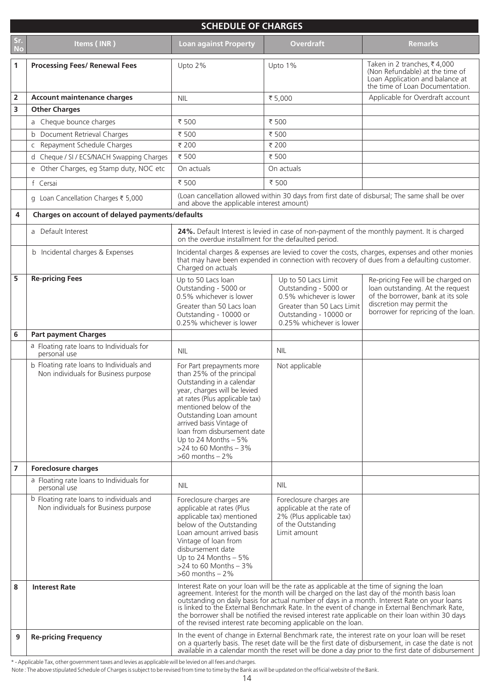|                | <b>SCHEDULE OF CHARGES</b>                                                       |                                                                                                                                                                                                                                                                                                                                                                                                                                                                                                                                                             |                                                                                                                                                             |                                                                                                                                                                                |  |
|----------------|----------------------------------------------------------------------------------|-------------------------------------------------------------------------------------------------------------------------------------------------------------------------------------------------------------------------------------------------------------------------------------------------------------------------------------------------------------------------------------------------------------------------------------------------------------------------------------------------------------------------------------------------------------|-------------------------------------------------------------------------------------------------------------------------------------------------------------|--------------------------------------------------------------------------------------------------------------------------------------------------------------------------------|--|
| <b>No</b>      | Items (INR)                                                                      | <b>Loan against Property</b>                                                                                                                                                                                                                                                                                                                                                                                                                                                                                                                                | <b>Overdraft</b>                                                                                                                                            | <b>Remarks</b>                                                                                                                                                                 |  |
| 1              | <b>Processing Fees/ Renewal Fees</b>                                             | Upto 2%                                                                                                                                                                                                                                                                                                                                                                                                                                                                                                                                                     | Upto 1%                                                                                                                                                     | Taken in 2 tranches, ₹4,000<br>(Non Refundable) at the time of<br>Loan Application and balance at<br>the time of Loan Documentation.                                           |  |
| 2<br>3         | <b>Account maintenance charges</b><br><b>Other Charges</b>                       | <b>NIL</b>                                                                                                                                                                                                                                                                                                                                                                                                                                                                                                                                                  | ₹5,000                                                                                                                                                      | Applicable for Overdraft account                                                                                                                                               |  |
|                | a Cheque bounce charges                                                          | ₹ 500                                                                                                                                                                                                                                                                                                                                                                                                                                                                                                                                                       | ₹ 500                                                                                                                                                       |                                                                                                                                                                                |  |
|                | b Document Retrieval Charges                                                     | ₹ 500                                                                                                                                                                                                                                                                                                                                                                                                                                                                                                                                                       | ₹ 500                                                                                                                                                       |                                                                                                                                                                                |  |
|                | c Repayment Schedule Charges                                                     | ₹ 200                                                                                                                                                                                                                                                                                                                                                                                                                                                                                                                                                       | ₹ 200                                                                                                                                                       |                                                                                                                                                                                |  |
|                | d Cheque / SI / ECS/NACH Swapping Charges                                        | ₹ 500                                                                                                                                                                                                                                                                                                                                                                                                                                                                                                                                                       | ₹ 500                                                                                                                                                       |                                                                                                                                                                                |  |
|                | e Other Charges, eg Stamp duty, NOC etc                                          | On actuals                                                                                                                                                                                                                                                                                                                                                                                                                                                                                                                                                  | On actuals                                                                                                                                                  |                                                                                                                                                                                |  |
|                | f Cersai                                                                         | ₹ 500                                                                                                                                                                                                                                                                                                                                                                                                                                                                                                                                                       | ₹ 500                                                                                                                                                       |                                                                                                                                                                                |  |
|                | g Loan Cancellation Charges ₹ 5,000                                              | and above the applicable interest amount)                                                                                                                                                                                                                                                                                                                                                                                                                                                                                                                   |                                                                                                                                                             | (Loan cancellation allowed within 30 days from first date of disbursal; The same shall be over                                                                                 |  |
| 4              | Charges on account of delayed payments/defaults                                  |                                                                                                                                                                                                                                                                                                                                                                                                                                                                                                                                                             |                                                                                                                                                             |                                                                                                                                                                                |  |
|                | a Default Interest                                                               | on the overdue installment for the defaulted period.                                                                                                                                                                                                                                                                                                                                                                                                                                                                                                        |                                                                                                                                                             | 24%. Default Interest is levied in case of non-payment of the monthly payment. It is charged                                                                                   |  |
|                | b Incidental charges & Expenses                                                  | Incidental charges & expenses are levied to cover the costs, charges, expenses and other monies<br>that may have been expended in connection with recovery of dues from a defaulting customer.<br>Charged on actuals                                                                                                                                                                                                                                                                                                                                        |                                                                                                                                                             |                                                                                                                                                                                |  |
| 5              | <b>Re-pricing Fees</b>                                                           | Up to 50 Lacs loan<br>Outstanding - 5000 or<br>0.5% whichever is lower<br>Greater than 50 Lacs loan<br>Outstanding - 10000 or<br>0.25% whichever is lower                                                                                                                                                                                                                                                                                                                                                                                                   | Up to 50 Lacs Limit<br>Outstanding - 5000 or<br>0.5% whichever is lower<br>Greater than 50 Lacs Limit<br>Outstanding - 10000 or<br>0.25% whichever is lower | Re-pricing Fee will be charged on<br>loan outstanding. At the request<br>of the borrower, bank at its sole<br>discretion may permit the<br>borrower for repricing of the loan. |  |
| 6              | <b>Part payment Charges</b>                                                      |                                                                                                                                                                                                                                                                                                                                                                                                                                                                                                                                                             |                                                                                                                                                             |                                                                                                                                                                                |  |
|                | a Floating rate loans to Individuals for<br>personal use                         | <b>NIL</b>                                                                                                                                                                                                                                                                                                                                                                                                                                                                                                                                                  | <b>NIL</b>                                                                                                                                                  |                                                                                                                                                                                |  |
|                | b Floating rate loans to Individuals and<br>Non individuals for Business purpose | For Part prepayments more<br>than 25% of the principal<br>Outstanding in a calendar<br>year, charges will be levied<br>at rates (Plus applicable tax)<br>mentioned below of the<br>Outstanding Loan amount<br>arrived basis Vintage of<br>loan from disbursement date<br>Up to 24 Months $-5\%$<br>$>24$ to 60 Months $-3\%$<br>$>60$ months $-2\%$                                                                                                                                                                                                         | Not applicable                                                                                                                                              |                                                                                                                                                                                |  |
| $\overline{7}$ | <b>Foreclosure charges</b>                                                       |                                                                                                                                                                                                                                                                                                                                                                                                                                                                                                                                                             |                                                                                                                                                             |                                                                                                                                                                                |  |
|                | a Floating rate loans to Individuals for<br>personal use                         | <b>NIL</b>                                                                                                                                                                                                                                                                                                                                                                                                                                                                                                                                                  | <b>NIL</b>                                                                                                                                                  |                                                                                                                                                                                |  |
|                | b Floating rate loans to individuals and<br>Non individuals for Business purpose | Foreclosure charges are<br>applicable at rates (Plus<br>applicable tax) mentioned<br>below of the Outstanding<br>Loan amount arrived basis<br>Vintage of loan from<br>disbursement date<br>Up to 24 Months $-5\%$<br>$>24$ to 60 Months - 3%<br>$>60$ months $-2\%$                                                                                                                                                                                                                                                                                         | Foreclosure charges are<br>applicable at the rate of<br>2% (Plus applicable tax)<br>of the Outstanding<br>Limit amount                                      |                                                                                                                                                                                |  |
| 8              | <b>Interest Rate</b>                                                             | Interest Rate on your loan will be the rate as applicable at the time of signing the loan<br>agreement. Interest for the month will be charged on the last day of the month basis loan<br>outstanding on daily basis for actual number of days in a month. Interest Rate on your loans<br>is linked to the External Benchmark Rate. In the event of change in External Benchmark Rate,<br>the borrower shall be notified the revised interest rate applicable on their loan within 30 days<br>of the revised interest rate becoming applicable on the loan. |                                                                                                                                                             |                                                                                                                                                                                |  |
| 9              | <b>Re-pricing Frequency</b>                                                      | In the event of change in External Benchmark rate, the interest rate on your loan will be reset<br>on a quarterly basis. The reset date will be the first date of disbursement, in case the date is not<br>available in a calendar month the reset will be done a day prior to the first date of disbursement                                                                                                                                                                                                                                               |                                                                                                                                                             |                                                                                                                                                                                |  |

\* - Applicable Tax, other government taxes and levies as applicable will be levied on all fees and charges.

Note : The above stipulated Schedule of Charges is subject to be revised from time to time by the Bank as will be updated on the official website of the Bank.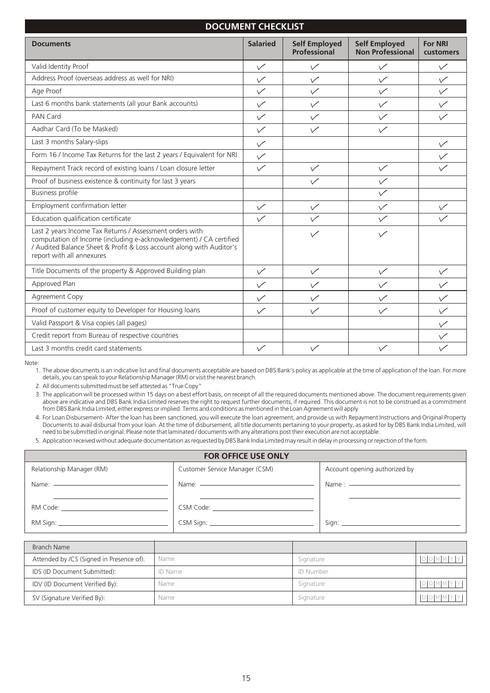# **DOCUMENT CHECKLIST**

| <b>Documents</b>                                                                                                                                                                                                                    | <b>Salaried</b> | <b>Self Employed</b><br><b>Professional</b> | <b>Self Employed</b><br><b>Non Professional</b> | <b>For NRI</b><br>customers |
|-------------------------------------------------------------------------------------------------------------------------------------------------------------------------------------------------------------------------------------|-----------------|---------------------------------------------|-------------------------------------------------|-----------------------------|
| Valid Identity Proof                                                                                                                                                                                                                | $\checkmark$    | $\checkmark$                                | $\checkmark$                                    | $\checkmark$                |
| Address Proof (overseas address as well for NRI)                                                                                                                                                                                    | $\checkmark$    | $\sqrt{}$                                   | $\checkmark$                                    | $\sqrt{}$                   |
| Age Proof                                                                                                                                                                                                                           | $\checkmark$    | $\checkmark$                                | $\checkmark$                                    | $\checkmark$                |
| Last 6 months bank statements (all your Bank accounts)                                                                                                                                                                              | $\checkmark$    | $\checkmark$                                | $\checkmark$                                    | $\checkmark$                |
| PAN Card                                                                                                                                                                                                                            | $\checkmark$    | $\checkmark$                                | $\checkmark$                                    | $\checkmark$                |
| Aadhar Card (To be Masked)                                                                                                                                                                                                          | $\checkmark$    | $\checkmark$                                | $\checkmark$                                    |                             |
| Last 3 months Salary-slips                                                                                                                                                                                                          | $\checkmark$    |                                             |                                                 | $\checkmark$                |
| Form 16 / Income Tax Returns for the last 2 years / Equivalent for NRI                                                                                                                                                              | $\checkmark$    |                                             |                                                 | $\checkmark$                |
| Repayment Track record of existing loans / Loan closure letter                                                                                                                                                                      | $\checkmark$    | $\sqrt{}$                                   | $\checkmark$                                    |                             |
| Proof of business existence & continuity for last 3 years                                                                                                                                                                           |                 | $\checkmark$                                | $\checkmark$                                    |                             |
| <b>Business profile</b>                                                                                                                                                                                                             |                 |                                             | $\checkmark$                                    |                             |
| Employment confirmation letter                                                                                                                                                                                                      | $\checkmark$    | $\checkmark$                                | $\checkmark$                                    | $\checkmark$                |
| Education qualification certificate                                                                                                                                                                                                 | $\checkmark$    | $\checkmark$                                | $\checkmark$                                    | $\checkmark$                |
| Last 2 years Income Tax Returns / Assessment orders with<br>computation of Income (including e-acknowledgement) / CA certified<br>/ Audited Balance Sheet & Profit & Loss account along with Auditor's<br>report with all annexures |                 | $\checkmark$                                | $\checkmark$                                    |                             |
| Title Documents of the property & Approved Building plan                                                                                                                                                                            | $\checkmark$    | $\checkmark$                                | $\checkmark$                                    | $\sqrt{}$                   |
| Approved Plan                                                                                                                                                                                                                       | $\checkmark$    | $\checkmark$                                | $\checkmark$                                    | $\checkmark$                |
| Agreement Copy                                                                                                                                                                                                                      | $\checkmark$    | $\checkmark$                                | $\checkmark$                                    | $\checkmark$                |
| Proof of customer equity to Developer for Housing loans                                                                                                                                                                             | $\sqrt{}$       | $\checkmark$                                | $\checkmark$                                    | $\checkmark$                |
| Valid Passport & Visa copies (all pages)                                                                                                                                                                                            |                 |                                             |                                                 | $\vee$                      |
| Credit report from Bureau of respective countries                                                                                                                                                                                   |                 |                                             |                                                 | $\checkmark$                |
| Last 3 months credit card statements                                                                                                                                                                                                | $\checkmark$    | $\checkmark$                                | $\sqrt{}$                                       | $\checkmark$                |

Note:

1. The above documents is an indicative list and final documents acceptable are based on DBS Bank's policy as applicable at the time of application of the loan. For more details, you can speak to your Relationship Manager (RM) or visit the nearest branch.

2. All documents submitted must be self attested as "True Copy"

3. The application will be processed within 15 days on a best effort basis, on receipt of all the required documents mentioned above. The document requirements given above are indicative and DBS Bank India Limited reserves the right to request further documents, if required. This document is not to be construed as a commitment from DBS Bank India Limited, either express or implied. Terms and conditions as mentioned in the Loan Agreement will apply

4. For Loan Disbursement- After the loan has been sanctioned, you will execute the loan agreement, and provide us with Repayment Instructions and Original Property Documents to avail disbursal from your loan. At the time of disbursement, all title documents pertaining to your property, as asked for by DBS Bank India Limited, will need to be submitted in original. Please note that laminated / documents with any alterations post their execution are not acceptable.

5. Application received without adequate documentation as requested by DBS Bank India Limited may result in delay in processing or rejection of the form.

|                                             | <b>FOR OFFICE USE ONLY</b>           |                               |
|---------------------------------------------|--------------------------------------|-------------------------------|
| Relationship Manager (RM)                   | Customer Service Manager (CSM)       | Account opening authorized by |
| Name: <u>______________________________</u> |                                      | Name : $\frac{1}{2}$          |
|                                             | CSM Code: The Committee of the Code: |                               |
|                                             |                                      |                               |

| Branch Name                              |                |           |       |
|------------------------------------------|----------------|-----------|-------|
| Attended by /CS (Signed in Presence of): | Name           | Signature | DDMM  |
| IDS (ID Document Submitted):             | <b>ID Name</b> | ID Number |       |
| IDV (ID Document Verified By):           | Name           | Signature |       |
| SV (Signature Verified By):              | Name           | Signature | DDMM. |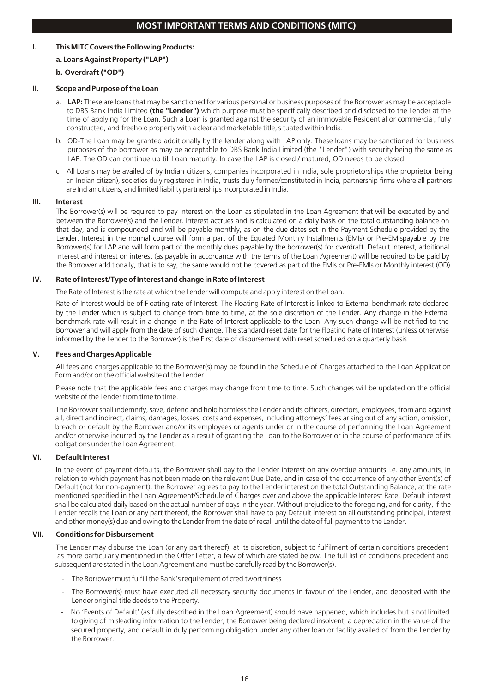# **I. This MITC Covers the Following Products:**

# **a. Loans Against Property ("LAP")**

# **b. Overdraft ("OD")**

# **II. Scope and Purpose of the Loan**

- a. **LAP:** These are loans that may be sanctioned for various personal or business purposes of the Borrower as may be acceptable to DBS Bank India Limited **(the "Lender")** which purpose must be specifically described and disclosed to the Lender at the time of applying for the Loan. Such a Loan is granted against the security of an immovable Residential or commercial, fully constructed, and freehold property with a clear and marketable title, situated within India.
- b. OD-The Loan may be granted additionally by the lender along with LAP only. These loans may be sanctioned for business purposes of the borrower as may be acceptable to DBS Bank India Limited (the "Lender") with security being the same as LAP. The OD can continue up till Loan maturity. In case the LAP is closed / matured, OD needs to be closed.
- c. All Loans may be availed of by Indian citizens, companies incorporated in India, sole proprietorships (the proprietor being an Indian citizen), societies duly registered in India, trusts duly formed/constituted in India, partnership firms where all partners are Indian citizens, and limited liability partnerships incorporated in India.

# **III. Interest**

The Borrower(s) will be required to pay interest on the Loan as stipulated in the Loan Agreement that will be executed by and between the Borrower(s) and the Lender. Interest accrues and is calculated on a daily basis on the total outstanding balance on that day, and is compounded and will be payable monthly, as on the due dates set in the Payment Schedule provided by the Lender. Interest in the normal course will form a part of the Equated Monthly Installments (EMIs) or Pre-EMIspayable by the Borrower(s) for LAP and will form part of the monthly dues payable by the borrower(s) for overdraft. Default Interest, additional interest and interest on interest (as payable in accordance with the terms of the Loan Agreement) will be required to be paid by the Borrower additionally, that is to say, the same would not be covered as part of the EMIs or Pre-EMIs or Monthly interest (OD)

# **IV. Rate of Interest/Type of Interest and change in Rate of Interest**

The Rate of Interest is the rate at which the Lender will compute and apply interest on the Loan.

Rate of Interest would be of Floating rate of Interest. The Floating Rate of Interest is linked to External benchmark rate declared by the Lender which is subject to change from time to time, at the sole discretion of the Lender. Any change in the External benchmark rate will result in a change in the Rate of Interest applicable to the Loan. Any such change will be notified to the Borrower and will apply from the date of such change. The standard reset date for the Floating Rate of Interest (unless otherwise informed by the Lender to the Borrower) is the First date of disbursement with reset scheduled on a quarterly basis

# **V. Fees and Charges Applicable**

All fees and charges applicable to the Borrower(s) may be found in the Schedule of Charges attached to the Loan Application Form and/or on the official website of the Lender.

Please note that the applicable fees and charges may change from time to time. Such changes will be updated on the official website of the Lender from time to time.

The Borrower shall indemnify, save, defend and hold harmless the Lender and its officers, directors, employees, from and against all, direct and indirect, claims, damages, losses, costs and expenses, including attorneys' fees arising out of any action, omission, breach or default by the Borrower and/or its employees or agents under or in the course of performing the Loan Agreement and/or otherwise incurred by the Lender as a result of granting the Loan to the Borrower or in the course of performance of its obligations under the Loan Agreement.

# **VI. Default Interest**

In the event of payment defaults, the Borrower shall pay to the Lender interest on any overdue amounts i.e. any amounts, in relation to which payment has not been made on the relevant Due Date, and in case of the occurrence of any other Event(s) of Default (not for non-payment), the Borrower agrees to pay to the Lender interest on the total Outstanding Balance, at the rate mentioned specified in the Loan Agreement/Schedule of Charges over and above the applicable Interest Rate. Default interest shall be calculated daily based on the actual number of days in the year. Without prejudice to the foregoing, and for clarity, if the Lender recalls the Loan or any part thereof, the Borrower shall have to pay Default Interest on all outstanding principal, interest and other money(s) due and owing to the Lender from the date of recall until the date of full payment to the Lender.

# **VII. Conditions for Disbursement**

The Lender may disburse the Loan (or any part thereof), at its discretion, subject to fulfilment of certain conditions precedent as more particularly mentioned in the Offer Letter, a few of which are stated below. The full list of conditions precedent and subsequent are stated in the Loan Agreement and must be carefully read by the Borrower(s).

- The Borrower must fulfill the Bank's requirement of creditworthiness
- The Borrower(s) must have executed all necessary security documents in favour of the Lender, and deposited with the Lender original title deeds to the Property.
- No 'Events of Default' (as fully described in the Loan Agreement) should have happened, which includes but is not limited to giving of misleading information to the Lender, the Borrower being declared insolvent, a depreciation in the value of the secured property, and default in duly performing obligation under any other loan or facility availed of from the Lender by the Borrower.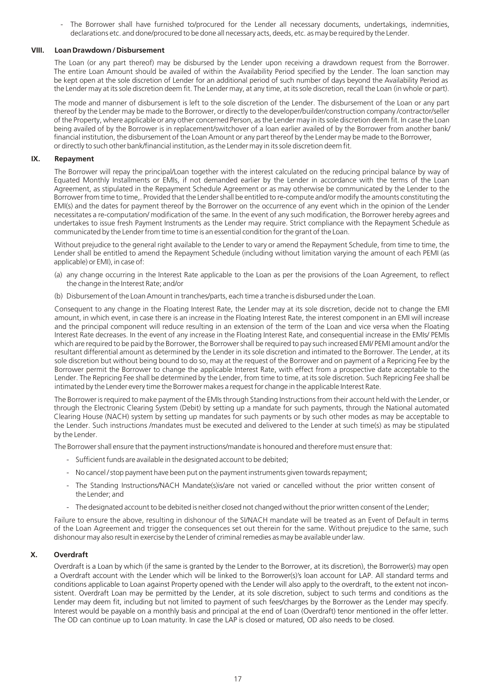- The Borrower shall have furnished to/procured for the Lender all necessary documents, undertakings, indemnities, declarations etc. and done/procured to be done all necessary acts, deeds, etc. as may be required by the Lender.

## **VIII. Loan Drawdown / Disbursement**

The Loan (or any part thereof) may be disbursed by the Lender upon receiving a drawdown request from the Borrower. The entire Loan Amount should be availed of within the Availability Period specified by the Lender. The loan sanction may be kept open at the sole discretion of Lender for an additional period of such number of days beyond the Availability Period as the Lender may at its sole discretion deem fit. The Lender may, at any time, at its sole discretion, recall the Loan (in whole or part).

The mode and manner of disbursement is left to the sole discretion of the Lender. The disbursement of the Loan or any part thereof by the Lender may be made to the Borrower, or directly to the developer/builder/construction company /contractor/seller of the Property, where applicable or any other concerned Person, as the Lender may in its sole discretion deem fit. In case the Loan being availed of by the Borrower is in replacement/switchover of a loan earlier availed of by the Borrower from another bank/ financial institution, the disbursement of the Loan Amount or any part thereof by the Lender may be made to the Borrower, or directly to such other bank/financial institution, as the Lender may in its sole discretion deem fit.

### **IX. Repayment**

The Borrower will repay the principal/Loan together with the interest calculated on the reducing principal balance by way of Equated Monthly Installments or EMIs, if not demanded earlier by the Lender in accordance with the terms of the Loan Agreement, as stipulated in the Repayment Schedule Agreement or as may otherwise be communicated by the Lender to the Borrower from time to time,. Provided that the Lender shall be entitled to re-compute and/or modify the amounts constituting the EMI(s) and the dates for payment thereof by the Borrower on the occurrence of any event which in the opinion of the Lender necessitates a re-computation/ modification of the same. In the event of any such modification, the Borrower hereby agrees and undertakes to issue fresh Payment Instruments as the Lender may require. Strict compliance with the Repayment Schedule as communicated by the Lender from time to time is an essential condition for the grant of the Loan.

Without prejudice to the general right available to the Lender to vary or amend the Repayment Schedule, from time to time, the Lender shall be entitled to amend the Repayment Schedule (including without limitation varying the amount of each PEMI (as applicable) or EMI), in case of:

- (a) any change occurring in the Interest Rate applicable to the Loan as per the provisions of the Loan Agreement, to reflect the change in the Interest Rate; and/or
- (b) Disbursement of the Loan Amount in tranches/parts, each time a tranche is disbursed under the Loan.

Consequent to any change in the Floating Interest Rate, the Lender may at its sole discretion, decide not to change the EMI amount, in which event, in case there is an increase in the Floating Interest Rate, the interest component in an EMI will increase and the principal component will reduce resulting in an extension of the term of the Loan and vice versa when the Floating Interest Rate decreases. In the event of any increase in the Floating Interest Rate, and consequential increase in the EMIs/ PEMIs which are required to be paid by the Borrower, the Borrower shall be required to pay such increased EMI/ PEMI amount and/or the resultant differential amount as determined by the Lender in its sole discretion and intimated to the Borrower. The Lender, at its sole discretion but without being bound to do so, may at the request of the Borrower and on payment of a Repricing Fee by the Borrower permit the Borrower to change the applicable Interest Rate, with effect from a prospective date acceptable to the Lender. The Repricing Fee shall be determined by the Lender, from time to time, at its sole discretion. Such Repricing Fee shall be intimated by the Lender every time the Borrower makes a request for change in the applicable Interest Rate.

The Borrower is required to make payment of the EMIs through Standing Instructions from their account held with the Lender, or through the Electronic Clearing System (Debit) by setting up a mandate for such payments, through the National automated Clearing House (NACH) system by setting up mandates for such payments or by such other modes as may be acceptable to the Lender. Such instructions /mandates must be executed and delivered to the Lender at such time(s) as may be stipulated by the Lender.

The Borrower shall ensure that the payment instructions/mandate is honoured and therefore must ensure that:

- Sufficient funds are available in the designated account to be debited;
- No cancel / stop payment have been put on the payment instruments given towards repayment;
- The Standing Instructions/NACH Mandate(s)is/are not varied or cancelled without the prior written consent of the Lender; and
- The designated account to be debited is neither closed not changed without the prior written consent of the Lender;

Failure to ensure the above, resulting in dishonour of the SI/NACH mandate will be treated as an Event of Default in terms of the Loan Agreement and trigger the consequences set out therein for the same. Without prejudice to the same, such dishonour may also result in exercise by the Lender of criminal remedies as may be available under law.

# **X. Overdraft**

Overdraft is a Loan by which (if the same is granted by the Lender to the Borrower, at its discretion), the Borrower(s) may open a Overdraft account with the Lender which will be linked to the Borrower(s)'s loan account for LAP. All standard terms and conditions applicable to Loan against Property opened with the Lender will also apply to the overdraft, to the extent not inconsistent. Overdraft Loan may be permitted by the Lender, at its sole discretion, subject to such terms and conditions as the Lender may deem fit, including but not limited to payment of such fees/charges by the Borrower as the Lender may specify. Interest would be payable on a monthly basis and principal at the end of Loan (Overdraft) tenor mentioned in the offer letter. The OD can continue up to Loan maturity. In case the LAP is closed or matured, OD also needs to be closed.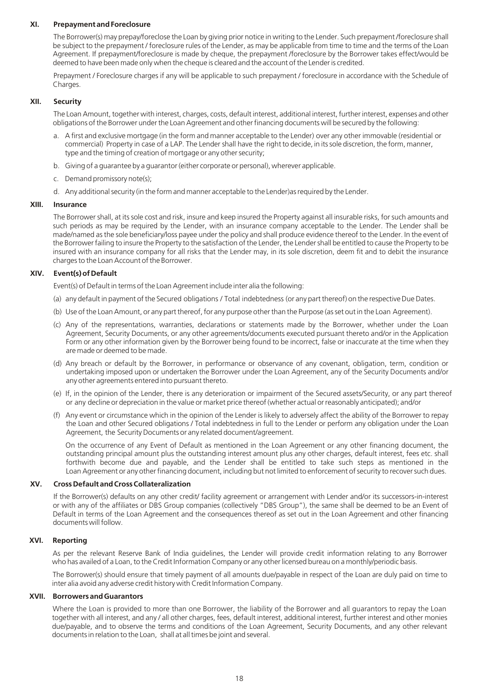#### **XI. Prepayment and Foreclosure**

The Borrower(s) may prepay/foreclose the Loan by giving prior notice in writing to the Lender. Such prepayment /foreclosure shall be subject to the prepayment / foreclosure rules of the Lender, as may be applicable from time to time and the terms of the Loan Agreement. If prepayment/foreclosure is made by cheque, the prepayment /foreclosure by the Borrower takes effect/would be deemed to have been made only when the cheque is cleared and the account of the Lender is credited.

Prepayment / Foreclosure charges if any will be applicable to such prepayment / foreclosure in accordance with the Schedule of Charges.

### **XII. Security**

The Loan Amount, together with interest, charges, costs, default interest, additional interest, further interest, expenses and other obligations of the Borrower under the Loan Agreement and other financing documents will be secured by the following:

- a. A first and exclusive mortgage (in the form and manner acceptable to the Lender) over any other immovable (residential or commercial) Property in case of a LAP. The Lender shall have the right to decide, in its sole discretion, the form, manner, type and the timing of creation of mortgage or any other security;
- b. Giving of a guarantee by a guarantor (either corporate or personal), wherever applicable.
- c. Demand promissory note(s);
- d. Any additional security (in the form and manner acceptable to the Lender)as required by the Lender.

#### **XIII. Insurance**

The Borrower shall, at its sole cost and risk, insure and keep insured the Property against all insurable risks, for such amounts and such periods as may be required by the Lender, with an insurance company acceptable to the Lender. The Lender shall be made/named as the sole beneficiary/loss payee under the policy and shall produce evidence thereof to the Lender. In the event of the Borrower failing to insure the Property to the satisfaction of the Lender, the Lender shall be entitled to cause the Property to be insured with an insurance company for all risks that the Lender may, in its sole discretion, deem fit and to debit the insurance charges to the Loan Account of the Borrower.

# **XIV. Event(s) of Default**

Event(s) of Default in terms of the Loan Agreement include inter alia the following:

- (a) any default in payment of the Secured obligations / Total indebtedness (or any part thereof) on the respective Due Dates.
- (b) Use of the Loan Amount, or any part thereof, for any purpose other than the Purpose (as set out in the Loan Agreement).
- (c) Any of the representations, warranties, declarations or statements made by the Borrower, whether under the Loan Agreement, Security Documents, or any other agreements/documents executed pursuant thereto and/or in the Application Form or any other information given by the Borrower being found to be incorrect, false or inaccurate at the time when they are made or deemed to be made.
- (d) Any breach or default by the Borrower, in performance or observance of any covenant, obligation, term, condition or undertaking imposed upon or undertaken the Borrower under the Loan Agreement, any of the Security Documents and/or any other agreements entered into pursuant thereto.
- (e) If, in the opinion of the Lender, there is any deterioration or impairment of the Secured assets/Security, or any part thereof or any decline or depreciation in the value or market price thereof (whether actual or reasonably anticipated); and/or
- (f) Any event or circumstance which in the opinion of the Lender is likely to adversely affect the ability of the Borrower to repay the Loan and other Secured obligations / Total indebtedness in full to the Lender or perform any obligation under the Loan Agreement, the Security Documents or any related document/agreement.

On the occurrence of any Event of Default as mentioned in the Loan Agreement or any other financing document, the outstanding principal amount plus the outstanding interest amount plus any other charges, default interest, fees etc. shall forthwith become due and payable, and the Lender shall be entitled to take such steps as mentioned in the Loan Agreement or any other financing document, including but not limited to enforcement of security to recover such dues.

#### **XV. Cross Default and Cross Collateralization**

If the Borrower(s) defaults on any other credit/ facility agreement or arrangement with Lender and/or its successors-in-interest or with any of the affiliates or DBS Group companies (collectively "DBS Group"), the same shall be deemed to be an Event of Default in terms of the Loan Agreement and the consequences thereof as set out in the Loan Agreement and other financing documents will follow.

#### **XVI. Reporting**

As per the relevant Reserve Bank of India guidelines, the Lender will provide credit information relating to any Borrower who has availed of a Loan, to the Credit Information Company or any other licensed bureau on a monthly/periodic basis.

The Borrower(s) should ensure that timely payment of all amounts due/payable in respect of the Loan are duly paid on time to inter alia avoid any adverse credit history with Credit Information Company.

#### **XVII. Borrowers and Guarantors**

Where the Loan is provided to more than one Borrower, the liability of the Borrower and all guarantors to repay the Loan together with all interest, and any / all other charges, fees, default interest, additional interest, further interest and other monies due/payable, and to observe the terms and conditions of the Loan Agreement, Security Documents, and any other relevant documents in relation to the Loan, shall at all times be joint and several.